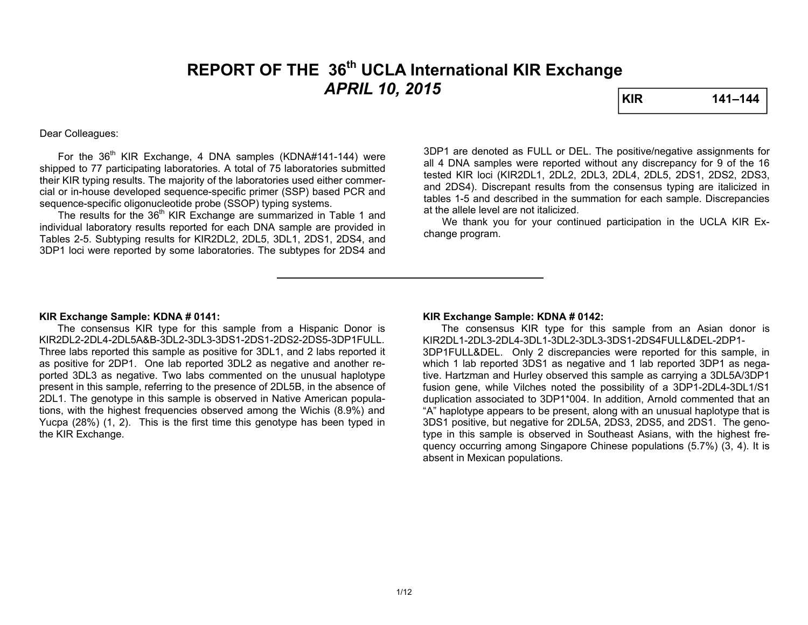# **REPORT OF THE 36th UCLA International KIR Exchange**  *APRIL 10, 2015* **KIR 141–144**

#### Dear Colleagues:

For the  $36<sup>th</sup>$  KIR Exchange, 4 DNA samples (KDNA#141-144) were shipped to 77 participating laboratories. A total of 75 laboratories submitted their KIR typing results. The majority of the laboratories used either commercial or in-house developed sequence-specific primer (SSP) based PCR and sequence-specific oligonucleotide probe (SSOP) typing systems.

The results for the 36<sup>th</sup> KIR Exchange are summarized in Table 1 and individual laboratory results reported for each DNA sample are provided in Tables 2-5. Subtyping results for KIR2DL2, 2DL5, 3DL1, 2DS1, 2DS4, and 3DP1 loci were reported by some laboratories. The subtypes for 2DS4 and 3DP1 are denoted as FULL or DEL. The positive/negative assignments for all 4 DNA samples were reported without any discrepancy for 9 of the 16 tested KIR loci (KIR2DL1, 2DL2, 2DL3, 2DL4, 2DL5, 2DS1, 2DS2, 2DS3, and 2DS4). Discrepant results from the consensus typing are italicized in tables 1-5 and described in the summation for each sample. Discrepancies at the allele level are not italicized.

 We thank you for your continued participation in the UCLA KIR Exchange program.

#### **KIR Exchange Sample: KDNA # 0141:**

 The consensus KIR type for this sample from a Hispanic Donor is KIR2DL2-2DL4-2DL5A&B-3DL2-3DL3-3DS1-2DS1-2DS2-2DS5-3DP1FULL. Three labs reported this sample as positive for 3DL1, and 2 labs reported it as positive for 2DP1. One lab reported 3DL2 as negative and another reported 3DL3 as negative. Two labs commented on the unusual haplotype present in this sample, referring to the presence of 2DL5B, in the absence of 2DL1. The genotype in this sample is observed in Native American populations, with the highest frequencies observed among the Wichis (8.9%) and Yucpa (28%) (1, 2). This is the first time this genotype has been typed in the KIR Exchange.

#### **KIR Exchange Sample: KDNA # 0142:**

 The consensus KIR type for this sample from an Asian donor is KIR2DL1-2DL3-2DL4-3DL1-3DL2-3DL3-3DS1-2DS4FULL&DEL-2DP1-3DP1FULL&DEL. Only 2 discrepancies were reported for this sample, in which 1 lab reported 3DS1 as negative and 1 lab reported 3DP1 as negative. Hartzman and Hurley observed this sample as carrying a 3DL5A/3DP1 fusion gene, while Vilches noted the possibility of a 3DP1-2DL4-3DL1/S1 duplication associated to 3DP1\*004. In addition, Arnold commented that an "A" haplotype appears to be present, along with an unusual haplotype that is 3DS1 positive, but negative for 2DL5A, 2DS3, 2DS5, and 2DS1. The genotype in this sample is observed in Southeast Asians, with the highest frequency occurring among Singapore Chinese populations (5.7%) (3, 4). It is absent in Mexican populations.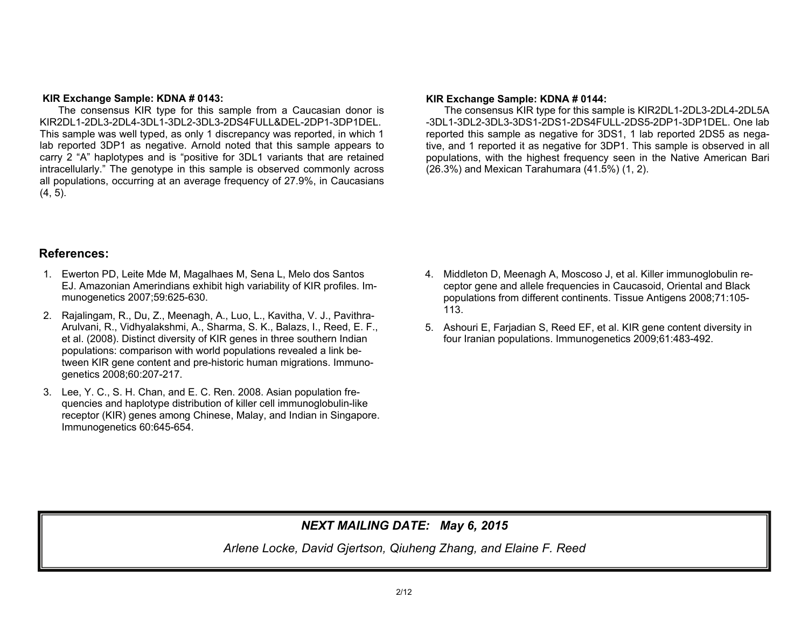#### **KIR Exchange Sample: KDNA # 0143:**

 The consensus KIR type for this sample from a Caucasian donor is KIR2DL1-2DL3-2DL4-3DL1-3DL2-3DL3-2DS4FULL&DEL-2DP1-3DP1DEL. This sample was well typed, as only 1 discrepancy was reported, in which 1 lab reported 3DP1 as negative. Arnold noted that this sample appears to carry 2 "A" haplotypes and is "positive for 3DL1 variants that are retained intracellularly." The genotype in this sample is observed commonly across all populations, occurring at an average frequency of 27.9%, in Caucasians  $(4, 5)$ .

#### **KIR Exchange Sample: KDNA # 0144:**

The consensus KIR type for this sample is KIR2DL1-2DL3-2DL4-2DL5A -3DL1-3DL2-3DL3-3DS1-2DS1-2DS4FULL-2DS5-2DP1-3DP1DEL. One lab reported this sample as negative for 3DS1, 1 lab reported 2DS5 as negative, and 1 reported it as negative for 3DP1. This sample is observed in all populations, with the highest frequency seen in the Native American Bari (26.3%) and Mexican Tarahumara (41.5%) (1, 2).

## **References:**

- 1. Ewerton PD, Leite Mde M, Magalhaes M, Sena L, Melo dos Santos EJ. Amazonian Amerindians exhibit high variability of KIR profiles. Immunogenetics 2007;59:625-630.
- 2. Rajalingam, R., Du, Z., Meenagh, A., Luo, L., Kavitha, V. J., Pavithra-Arulvani, R., Vidhyalakshmi, A., Sharma, S. K., Balazs, I., Reed, E. F., et al. (2008). Distinct diversity of KIR genes in three southern Indian populations: comparison with world populations revealed a link between KIR gene content and pre-historic human migrations. Immunogenetics 2008;60:207-217.
- 3. Lee, Y. C., S. H. Chan, and E. C. Ren. 2008. Asian population frequencies and haplotype distribution of killer cell immunoglobulin-like receptor (KIR) genes among Chinese, Malay, and Indian in Singapore. Immunogenetics 60:645-654.
- 4. Middleton D, Meenagh A, Moscoso J, et al. Killer immunoglobulin receptor gene and allele frequencies in Caucasoid, Oriental and Black populations from different continents. Tissue Antigens 2008;71:105- 113.
- 5. Ashouri E, Farjadian S, Reed EF, et al. KIR gene content diversity in four Iranian populations. Immunogenetics 2009;61:483-492.

# *NEXT MAILING DATE: May 6, 2015*

*Arlene Locke, David Gjertson, Qiuheng Zhang, and Elaine F. Reed*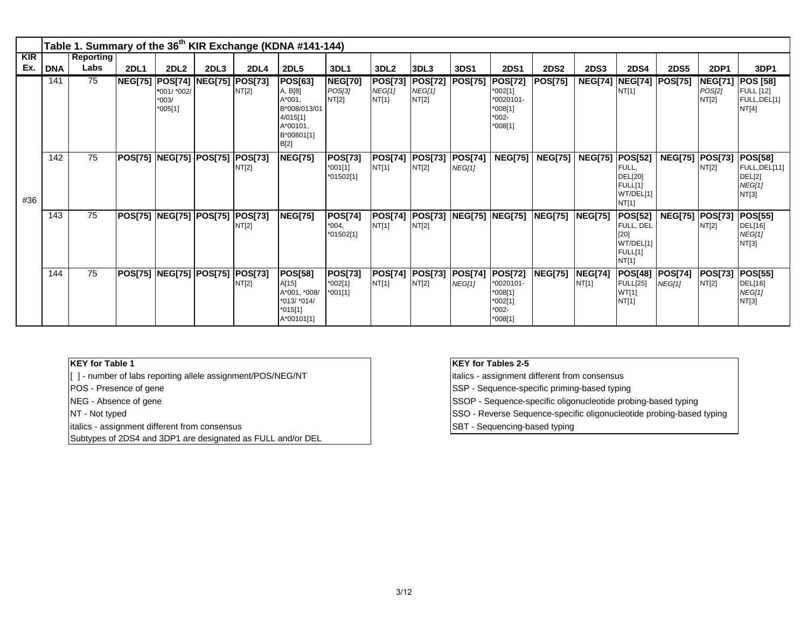|                   |            |                          |             |                                                               |                  |                                 | Table 1. Summary of the 36 <sup>th</sup> KIR Exchange (KDNA #141-144)                                     |                                          |                                   |                                           |                                |                                                                               |                |                                   |                                                                      |                |                                   |                                                              |
|-------------------|------------|--------------------------|-------------|---------------------------------------------------------------|------------------|---------------------------------|-----------------------------------------------------------------------------------------------------------|------------------------------------------|-----------------------------------|-------------------------------------------|--------------------------------|-------------------------------------------------------------------------------|----------------|-----------------------------------|----------------------------------------------------------------------|----------------|-----------------------------------|--------------------------------------------------------------|
| <b>KIR</b><br>Ex. | <b>DNA</b> | <b>Reporting</b><br>Labs | <b>2DL1</b> | <b>2DL2</b>                                                   | 2DL <sub>3</sub> | <b>2DL4</b>                     | <b>2DL5</b>                                                                                               | <b>3DL1</b>                              | 3DL <sub>2</sub>                  | 3DL3                                      | 3DS1                           | <b>2DS1</b>                                                                   | <b>2DS2</b>    | <b>2DS3</b>                       | <b>2DS4</b>                                                          | <b>2DS5</b>    | <b>2DP1</b>                       | 3DP1                                                         |
|                   | 141        | 75                       |             | <b>NEG[75] POS[74]</b><br>*001/ *002/<br>$*003/$<br>$*005[1]$ |                  | <b>NEG[75] POS[73]</b><br>NT[2] | <b>POS[63]</b><br>A, B[8]<br>$A*001$<br>B*008/013/01<br>4/015[1]<br>A*00101.<br>B*00801[1]<br><b>B[2]</b> | <b>NEG[70]</b><br>POS[3]<br>NT[2]        | <b>POS[73]</b><br>NEG[1]<br>NT[1] | <b>POS[72] POS[75]</b><br>NEG[1]<br>NT[2] |                                | <b>POS[72]</b><br>$*002[1]$<br>*0020101-<br>$*008[1]$<br>$*002-$<br>$*008[1]$ | <b>POS[75]</b> |                                   | <b>NEG[74]  NEG[74]  POS[75]</b><br>NT[1]                            |                | <b>NEG[71]</b><br>POS[2]<br>NT[2] | <b>POS [58]</b><br><b>FULL</b> [12]<br>FULL, DEL[1]<br>NT[4] |
| #36               | 142        | 75                       |             | POS[75] NEG[75] POS[75] POS[73]                               |                  | NT[2]                           | <b>NEG[75]</b>                                                                                            | <b>POS[73]</b><br>$*001[1]$<br>*01502[1] | NT[1]                             | POS[74]  POS[73]  POS[74]<br>NT[2]        | NEG[1]                         | <b>NEG[75]</b>                                                                |                | <b>NEG[75]   NEG[75]  POS[52]</b> | FULL,<br>DEL[20]<br>FULL[1]<br>WT/DEL[1]<br>NT[1]                    | <b>NEG[75]</b> | <b>POS[73]</b><br>NT[2]           | <b>POS[58]</b><br>FULL, DEL[11]<br>DEL[2]<br>NEG[1]<br>NT[3] |
|                   | 143        | 75                       |             | POS[75] NEG[75] POS[75] POS[73]                               |                  | NT[2]                           | <b>NEG[75]</b>                                                                                            | <b>POS[74]</b><br>$*004,$<br>*01502[1]   | <b>POS[74]</b><br>NT[1]           | NT[2]                                     | <b>POS[73] NEG[75] NEG[75]</b> |                                                                               | <b>NEG[75]</b> | <b>NEG[75]</b>                    | <b>POS[52]</b><br>FULL, DEL<br>[20]<br>WT/DEL[1]<br>FULL[1]<br>NT[1] | <b>NEG[75]</b> | <b>POS[73]</b><br>NT[2]           | <b>POS[55]</b><br>DEL[16]<br>NEG[1]<br>NT[3]                 |
|                   | 144        | 75                       |             | POS[75] NEG[75] POS[75] POS[73]                               |                  | NT[2]                           | <b>POS[58]</b><br>A[15]<br>A*001, *008/<br>*013/ *014/<br>$*015[1]$<br>A*00101[1]                         | <b>POS[73]</b><br>$*002[1]$<br>$*001[1]$ | NT[1]                             | POS[74] POS[73] POS[74]<br>NT[2]          | NEG[1]                         | <b>POS[72]</b><br>*0020101-<br>$*008[1]$<br>*002[1]<br>$*002-$<br>$*008[1]$   | <b>NEG[75]</b> | <b>NEG[74]</b><br>NT[1]           | <b>POS[48] POS[74]</b><br><b>FULL[25]</b><br>WT[1]<br>NT[1]          | NEG[1]         | <b>POS[73]</b><br>NT[2]           | <b>POS[55]</b><br>DEL[16]<br>NEG[1]<br>NT[3]                 |

#### **KEY for Table 1**

[ ] - number of labs reporting allele assignment/POS/NEG/NT

POS - Presence of gene

NEG - Absence of gene

NT - Not typed

italics - assignment different from consensus

Subtypes of 2DS4 and 3DP1 are designated as FULL and/or DEL

## **KEY for Tables 2-5**

italics - assignment different from consensus

SSP - Sequence-specific priming-based typing

SSOP - Sequence-specific oligonucleotide probing-based typing

SSO - Reverse Sequence-specific oligonucleotide probing-based typing

SBT - Sequencing-based typing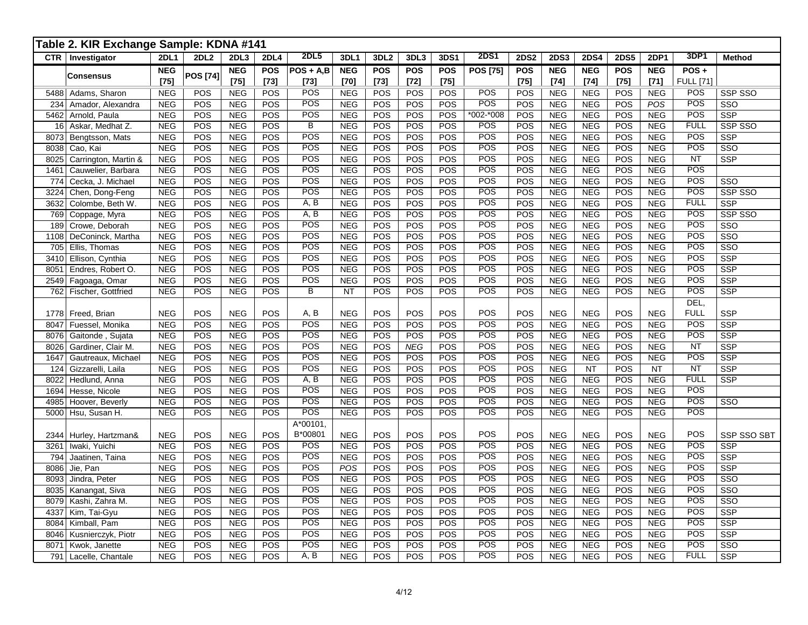|              | Table 2. KIR Exchange Sample: KDNA #141 |                          |                  |                          |                          |                       |                          |                      |                      |                      |                   |                      |                          |                          |                      |                          |                          |                         |
|--------------|-----------------------------------------|--------------------------|------------------|--------------------------|--------------------------|-----------------------|--------------------------|----------------------|----------------------|----------------------|-------------------|----------------------|--------------------------|--------------------------|----------------------|--------------------------|--------------------------|-------------------------|
|              | <b>CTR</b>   Investigator               | <b>2DL1</b>              | 2DL <sub>2</sub> | 2DL3                     | <b>2DL4</b>              | 2DL5                  | 3DL1                     | 3DL <sub>2</sub>     | 3DL3                 | <b>3DS1</b>          | <b>2DS1</b>       | 2DS2                 | <b>2DS3</b>              | <b>2DS4</b>              | <b>2DS5</b>          | 2DP1                     | 3DP1                     | <b>Method</b>           |
|              | <b>Consensus</b>                        | <b>NEG</b><br>$[75]$     | <b>POS [74]</b>  | <b>NEG</b><br>$[75]$     | <b>POS</b><br>$[73]$     | $POS + A,B$<br>$[73]$ | <b>NEG</b><br>$[70]$     | <b>POS</b><br>$[73]$ | <b>POS</b><br>$[72]$ | <b>POS</b><br>$[75]$ | <b>POS [75]</b>   | <b>POS</b><br>$[75]$ | <b>NEG</b><br>$[74]$     | <b>NEG</b><br>$[74]$     | <b>POS</b><br>$[75]$ | <b>NEG</b><br>$[71]$     | POS+<br><b>FULL [71]</b> |                         |
|              | 5488 Adams, Sharon                      | <b>NEG</b>               | POS              | <b>NEG</b>               | <b>POS</b>               | POS                   | <b>NEG</b>               | POS                  | POS                  | POS                  | <b>POS</b>        | POS                  | <b>NEG</b>               | <b>NEG</b>               | POS                  | <b>NEG</b>               | <b>POS</b>               | SSP SSO                 |
| 234          | Amador, Alexandra                       | <b>NEG</b>               | POS              | <b>NEG</b>               | POS                      | POS                   | <b>NEG</b>               | POS                  | POS                  | POS                  | POS               | POS                  | <b>NEG</b>               | <b>NEG</b>               | POS                  | POS                      | POS                      | SSO                     |
| 5462         | Arnold, Paula                           | <b>NEG</b>               | POS              | <b>NEG</b>               | POS                      | POS                   | <b>NEG</b>               | POS                  | POS                  | POS                  | $*002 - *008$     | POS                  | <b>NEG</b>               | <b>NEG</b>               | POS                  | <b>NEG</b>               | POS                      | <b>SSP</b>              |
| 16           | Askar, Medhat Z.                        | <b>NEG</b>               | POS              | <b>NEG</b>               | POS                      | B                     | <b>NEG</b>               | POS                  | POS                  | POS                  | <b>POS</b>        | POS                  | <b>NEG</b>               | <b>NEG</b>               | POS                  | <b>NEG</b>               | <b>FULL</b>              | SSP SSO                 |
| 8073         | Bengtsson, Mats                         | <b>NEG</b>               | POS              | <b>NEG</b>               | POS                      | POS                   | <b>NEG</b>               | POS                  | POS                  | POS                  | POS               | POS                  | <b>NEG</b>               | <b>NEG</b>               | POS                  | <b>NEG</b>               | POS                      | <b>SSP</b>              |
| 8038         | Cao, Kai                                | <b>NEG</b>               | POS              | <b>NEG</b>               | POS                      | POS                   | <b>NEG</b>               | POS                  | POS                  | POS                  | POS               | POS                  | <b>NEG</b>               | <b>NEG</b>               | POS                  | <b>NEG</b>               | POS                      | SSO                     |
| 8025         | Carrington, Martin &                    | <b>NEG</b>               | POS              | <b>NEG</b>               | POS                      | POS                   | <b>NEG</b>               | POS                  | <b>POS</b>           | POS                  | <b>POS</b>        | POS                  | <b>NEG</b>               | <b>NEG</b>               | POS                  | <b>NEG</b>               | <b>NT</b>                | <b>SSP</b>              |
| 1461         | Cauwelier, Barbara                      | <b>NEG</b>               | POS              | <b>NEG</b>               | POS                      | <b>POS</b><br>POS     | <b>NEG</b>               | POS                  | POS                  | POS                  | POS<br><b>POS</b> | POS                  | <b>NEG</b>               | <b>NEG</b>               | POS                  | <b>NEG</b>               | <b>POS</b><br><b>POS</b> |                         |
| 774          | Cecka, J. Michael                       | <b>NEG</b>               | POS              | NEG                      | <b>POS</b><br><b>POS</b> | POS                   | <b>NEG</b>               | POS<br>POS           | POS                  | POS<br>POS           | POS               | POS                  | <b>NEG</b>               | <b>NEG</b>               | POS<br>POS           | <b>NEG</b>               | POS                      | SSO<br>SSP SSO          |
| 3224<br>3632 | Chen, Dong-Feng<br>Colombe, Beth W.     | <b>NEG</b><br><b>NEG</b> | POS<br>POS       | <b>NEG</b><br><b>NEG</b> | POS                      | A, B                  | <b>NEG</b><br><b>NEG</b> | POS                  | POS<br>POS           | POS                  | <b>POS</b>        | POS<br>POS           | <b>NEG</b><br><b>NEG</b> | <b>NEG</b><br><b>NEG</b> | POS                  | <b>NEG</b><br><b>NEG</b> | <b>FULL</b>              | <b>SSP</b>              |
| 769          | Coppage, Myra                           | <b>NEG</b>               | POS              | <b>NEG</b>               | POS                      | A, B                  | <b>NEG</b>               | POS                  | <b>POS</b>           | POS                  | POS               | POS                  | <b>NEG</b>               | <b>NEG</b>               | POS                  | <b>NEG</b>               | POS                      | SSP SSO                 |
| 189          | Crowe, Deborah                          | <b>NEG</b>               | POS              | <b>NEG</b>               | POS                      | POS                   | <b>NEG</b>               | POS                  | POS                  | POS                  | POS               | POS                  | <b>NEG</b>               | <b>NEG</b>               | POS                  | <b>NEG</b>               | POS                      | $\overline{\text{SSO}}$ |
| 1108         | DeConinck, Martha                       | <b>NEG</b>               | POS              | <b>NEG</b>               | POS                      | POS                   | <b>NEG</b>               | POS                  | POS                  | POS                  | <b>POS</b>        | POS                  | <b>NEG</b>               | <b>NEG</b>               | POS                  | <b>NEG</b>               | POS                      | $\overline{\text{SSO}}$ |
| 705          | Ellis, Thomas                           | <b>NEG</b>               | POS              | <b>NEG</b>               | POS                      | POS                   | <b>NEG</b>               | POS                  | POS                  | POS                  | POS               | POS                  | <b>NEG</b>               | <b>NEG</b>               | POS                  | <b>NEG</b>               | POS                      | SSO                     |
| 3410         | Ellison, Cynthia                        | <b>NEG</b>               | POS              | <b>NEG</b>               | POS                      | POS                   | <b>NEG</b>               | POS                  | POS                  | POS                  | POS               | POS                  | <b>NEG</b>               | <b>NEG</b>               | POS                  | <b>NEG</b>               | POS                      | <b>SSP</b>              |
| 8051         | Endres, Robert O.                       | <b>NEG</b>               | POS              | <b>NEG</b>               | <b>POS</b>               | POS                   | <b>NEG</b>               | POS                  | POS                  | POS                  | POS               | POS                  | <b>NEG</b>               | <b>NEG</b>               | POS                  | <b>NEG</b>               | POS                      | <b>SSP</b>              |
| 2549         | Fagoaga, Omar                           | <b>NEG</b>               | POS              | NEG                      | <b>POS</b>               | POS                   | <b>NEG</b>               | POS                  | POS                  | POS                  | <b>POS</b>        | POS                  | <b>NEG</b>               | <b>NEG</b>               | POS                  | <b>NEG</b>               | POS                      | <b>SSP</b>              |
| 762          | <b>Fischer, Gottfried</b>               | <b>NEG</b>               | POS              | <b>NEG</b>               | <b>POS</b>               | $\overline{B}$        | <b>NT</b>                | POS                  | <b>POS</b>           | POS                  | POS               | POS                  | <b>NEG</b>               | <b>NEG</b>               | POS                  | <b>NEG</b>               | POS                      | SSP                     |
|              |                                         |                          |                  |                          |                          |                       |                          |                      |                      |                      |                   |                      |                          |                          |                      |                          | DEL,                     |                         |
| 1778         | Freed, Brian                            | <b>NEG</b>               | POS              | <b>NEG</b>               | POS                      | A, B                  | <b>NEG</b>               | POS                  | POS                  | POS                  | POS               | POS                  | <b>NEG</b>               | <b>NEG</b>               | POS                  | <b>NEG</b>               | <b>FULL</b>              | <b>SSP</b>              |
| 8047         | Fuessel, Monika                         | <b>NEG</b>               | POS              | <b>NEG</b>               | POS                      | POS                   | <b>NEG</b>               | POS                  | POS                  | POS                  | POS               | POS                  | <b>NEG</b>               | <b>NEG</b>               | POS                  | <b>NEG</b>               | POS                      | <b>SSP</b>              |
| 8076         | Gaitonde, Sujata                        | <b>NEG</b>               | POS              | <b>NEG</b>               | POS                      | POS                   | <b>NEG</b>               | POS                  | POS                  | POS                  | POS               | POS                  | <b>NEG</b>               | <b>NEG</b>               | POS                  | <b>NEG</b>               | POS                      | <b>SSP</b>              |
| 8026         | Gardiner, Clair M.                      | <b>NEG</b>               | POS              | <b>NEG</b>               | POS                      | POS                   | <b>NEG</b>               | POS                  | <b>NEG</b>           | POS                  | POS               | POS                  | <b>NEG</b>               | <b>NEG</b>               | POS                  | <b>NEG</b>               | <b>NT</b>                | <b>SSP</b>              |
| 1647         | Gautreaux, Michael                      | <b>NEG</b>               | POS              | <b>NEG</b>               | POS                      | POS                   | <b>NEG</b>               | POS                  | POS                  | POS                  | <b>POS</b>        | POS                  | <b>NEG</b>               | <b>NEG</b>               | POS                  | <b>NEG</b>               | POS                      | <b>SSP</b>              |
| 124          | Gizzarelli, Laila                       | <b>NEG</b>               | POS              | NEG                      | POS                      | POS                   | <b>NEG</b>               | POS                  | POS                  | POS                  | <b>POS</b>        | POS                  | <b>NEG</b>               | <b>NT</b>                | POS                  | <b>NT</b>                | <b>NT</b>                | <b>SSP</b>              |
| 8022         | Hedlund, Anna                           | <b>NEG</b>               | POS              | <b>NEG</b>               | POS                      | A, B                  | <b>NEG</b>               | POS                  | POS                  | POS                  | POS               | POS                  | NEG                      | <b>NEG</b>               | POS                  | <b>NEG</b>               | <b>FULL</b>              | <b>SSP</b>              |
| 1694         | Hesse, Nicole                           | <b>NEG</b>               | POS              | <b>NEG</b>               | <b>POS</b>               | POS                   | <b>NEG</b>               | POS                  | POS                  | POS                  | POS               | POS                  | <b>NEG</b>               | <b>NEG</b>               | POS                  | <b>NEG</b>               | POS                      |                         |
| 4985         | Hoover, Beverly                         | <b>NEG</b>               | POS              | <b>NEG</b>               | POS                      | POS                   | <b>NEG</b>               | POS                  | POS                  | POS                  | POS               | POS                  | <b>NEG</b>               | <b>NEG</b>               | POS                  | <b>NEG</b>               | POS                      | SSO                     |
| 5000         | Hsu, Susan H.                           | <b>NEG</b>               | POS              | <b>NEG</b>               | <b>POS</b>               | POS                   | <b>NEG</b>               | POS                  | POS                  | POS                  | <b>POS</b>        | POS                  | <b>NEG</b>               | <b>NEG</b>               | POS                  | <b>NEG</b>               | <b>POS</b>               |                         |
| 2344         | Hurley, Hartzman&                       | <b>NEG</b>               | POS              | <b>NEG</b>               | POS                      | A*00101<br>B*00801    | <b>NEG</b>               | POS                  | POS                  | POS                  | POS               | POS                  | <b>NEG</b>               | <b>NEG</b>               | POS                  | <b>NEG</b>               | POS                      | <b>SSP SSO SBT</b>      |
| 3261         | Iwaki, Yuichi                           | <b>NEG</b>               | POS              | <b>NEG</b>               | POS                      | POS                   | <b>NEG</b>               | POS                  | POS                  | POS                  | POS               | POS                  | <b>NEG</b>               | <b>NEG</b>               | POS                  | <b>NEG</b>               | POS                      | <b>SSP</b>              |
| 794          | Jaatinen, Taina                         | <b>NEG</b>               | POS              | <b>NEG</b>               | POS                      | POS                   | <b>NEG</b>               | POS                  | POS                  | POS                  | POS               | POS                  | <b>NEG</b>               | <b>NEG</b>               | POS                  | <b>NEG</b>               | POS                      | <b>SSP</b>              |
| 8086         | Jie, Pan                                | <b>NEG</b>               | POS              | <b>NEG</b>               | POS                      | POS                   | POS                      | POS                  | POS                  | POS                  | POS               | POS                  | <b>NEG</b>               | <b>NEG</b>               | POS                  | <b>NEG</b>               | POS                      | <b>SSP</b>              |
| 8093         | Jindra, Peter                           | <b>NEG</b>               | POS              | NEG                      | POS                      | <b>POS</b>            | <b>NEG</b>               | POS                  | POS                  | POS                  | <b>POS</b>        | POS                  | <b>NEG</b>               | <b>NEG</b>               | POS                  | <b>NEG</b>               | POS                      | SSO                     |
| 8035         | Kanangat, Siva                          | <b>NEG</b>               | POS              | <b>NEG</b>               | <b>POS</b>               | POS                   | <b>NEG</b>               | POS                  | POS                  | POS                  | POS               | POS                  | <b>NEG</b>               | <b>NEG</b>               | POS                  | <b>NEG</b>               | POS                      | $\overline{\text{SSO}}$ |
| 8079         | Kashi, Zahra M.                         | <b>NEG</b>               | POS              | <b>NEG</b>               | POS                      | POS                   | <b>NEG</b>               | POS                  | POS                  | POS                  | POS               | POS                  | <b>NEG</b>               | <b>NEG</b>               | POS                  | <b>NEG</b>               | POS                      | SSO                     |
| 4337         | Kim, Tai-Gyu                            | <b>NEG</b>               | POS              | <b>NEG</b>               | POS                      | POS                   | <b>NEG</b>               | POS                  | POS                  | POS                  | POS               | POS                  | <b>NEG</b>               | <b>NEG</b>               | POS                  | <b>NEG</b>               | POS                      | <b>SSP</b>              |
| 8084         | Kimball, Pam                            | <b>NEG</b>               | POS              | <b>NEG</b>               | POS                      | POS                   | <b>NEG</b>               | POS                  | POS                  | POS                  | POS               | POS                  | NEG                      | <b>NEG</b>               | POS                  | <b>NEG</b>               | POS                      | SSP                     |
| 8046         | Kusnierczyk, Piotr                      | <b>NEG</b>               | POS              | <b>NEG</b>               | POS                      | POS                   | <b>NEG</b>               | POS                  | <b>POS</b>           | POS                  | <b>POS</b>        | POS                  | <b>NEG</b>               | <b>NEG</b>               | POS                  | <b>NEG</b>               | POS                      | <b>SSP</b>              |
| 8071         | Kwok, Janette                           | <b>NEG</b>               | POS              | <b>NEG</b>               | POS                      | POS                   | <b>NEG</b>               | POS                  | POS                  | POS                  | <b>POS</b>        | POS                  | <b>NEG</b>               | <b>NEG</b>               | POS                  | <b>NEG</b>               | POS                      | SSO                     |
| 791          | Lacelle, Chantale                       | <b>NEG</b>               | POS              | <b>NEG</b>               | <b>POS</b>               | A, B                  | <b>NEG</b>               | PO <sub>S</sub>      | POS                  | POS                  | POS               | POS                  | <b>NEG</b>               | <b>NEG</b>               | POS                  | <b>NEG</b>               | <b>FULL</b>              | <b>SSP</b>              |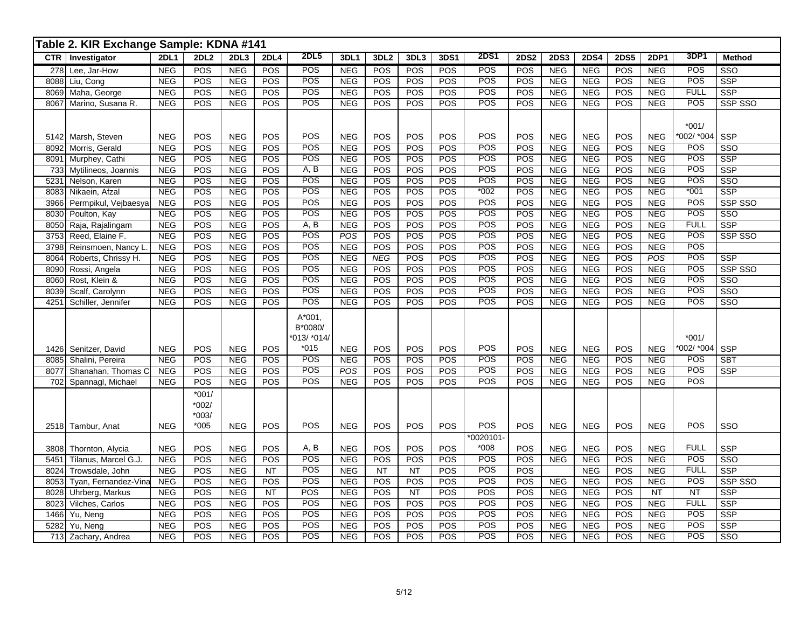|      | Table 2. KIR Exchange Sample: KDNA #141 |             |             |            |             |             |                  |                  |           |            |                  |             |             |             |             |             |             |                         |
|------|-----------------------------------------|-------------|-------------|------------|-------------|-------------|------------------|------------------|-----------|------------|------------------|-------------|-------------|-------------|-------------|-------------|-------------|-------------------------|
|      | CTR   Investigator                      | <b>2DL1</b> | <b>2DL2</b> | 2DL3       | <b>2DL4</b> | <b>2DL5</b> | 3DL1             | 3DL <sub>2</sub> | 3DL3      | 3DS1       | <b>2DS1</b>      | <b>2DS2</b> | <b>2DS3</b> | <b>2DS4</b> | <b>2DS5</b> | <b>2DP1</b> | 3DP1        | <b>Method</b>           |
| 278  | Lee, Jar-How                            | <b>NEG</b>  | POS         | <b>NEG</b> | POS         | POS         | <b>NEG</b>       | POS              | POS       | POS        | POS              | POS         | <b>NEG</b>  | <b>NEG</b>  | POS         | <b>NEG</b>  | POS         | SSO                     |
|      | 8088 Liu, Cong                          | NEG         | POS         | NEG        | POS         | POS         | NEG              | POS              | POS       | POS        | POS              | POS         | NEG         | NEG         | POS         | NEG         | POS         | $\overline{\text{SSP}}$ |
| 8069 | Maha, George                            | NEG         | POS         | NEG        | POS         | POS         | NEG              | POS              | POS       | POS        | POS              | POS         | <b>NEG</b>  | NEG         | POS         | NEG         | <b>FULL</b> | <b>SSP</b>              |
| 8067 | Marino, Susana R.                       | <b>NEG</b>  | POS         | <b>NEG</b> | POS         | POS         | <b>NEG</b>       | POS              | POS       | POS        | <b>POS</b>       | POS         | <b>NEG</b>  | <b>NEG</b>  | POS         | <b>NEG</b>  | POS         | SSP SSO                 |
|      |                                         |             |             |            |             |             |                  |                  |           |            |                  |             |             |             |             |             |             |                         |
|      |                                         |             |             |            |             |             |                  |                  |           |            |                  |             |             |             |             |             | $*001/$     |                         |
| 5142 | Marsh, Steven                           | <b>NEG</b>  | POS         | <b>NEG</b> | POS         | POS         | <b>NEG</b>       | POS              | POS       | POS        | POS              | POS         | <b>NEG</b>  | <b>NEG</b>  | POS         | <b>NEG</b>  | *002/ *004  | <b>SSP</b>              |
| 8092 | Morris, Gerald                          | NEG         | POS         | NEG        | POS         | POS         | NEG              | POS              | POS       | POS        | POS              | POS         | <b>NEG</b>  | NEG         | POS         | NEG         | POS         | SSO                     |
| 8091 | Murphey, Cathi                          | <b>NEG</b>  | POS         | <b>NEG</b> | POS         | POS         | <b>NEG</b>       | POS              | POS       | POS        | POS              | POS         | <b>NEG</b>  | <b>NEG</b>  | POS         | <b>NEG</b>  | POS         | SSP                     |
|      | 733 Mytilineos, Joannis                 | <b>NEG</b>  | POS         | NEG        | POS         | A, B        | NEG              | POS              | POS       | POS        | POS              | POS         | <b>NEG</b>  | NEG         | <b>POS</b>  | NEG         | POS         | SSP                     |
| 5231 | Nelson, Karen                           | NEG         | POS         | NEG        | POS         | POS         | <b>NEG</b>       | POS              | POS       | POS        | POS              | POS         | <b>NEG</b>  | <b>NEG</b>  | POS         | NEG         | POS         | $\overline{\text{SSO}}$ |
|      | 8083 Nikaein, Afzal                     | <b>NEG</b>  | POS         | <b>NEG</b> | POS         | POS         | <b>NEG</b>       | POS              | POS       | POS        | $*002$           | POS         | <b>NEG</b>  | <b>NEG</b>  | POS         | <b>NEG</b>  | $*001$      | <b>SSP</b>              |
| 3966 | Permpikul, Vejbaesya                    | <b>NEG</b>  | POS         | <b>NEG</b> | POS         | POS         | <b>NEG</b>       | POS              | POS       | POS        | POS              | POS         | <b>NEG</b>  | <b>NEG</b>  | POS         | <b>NEG</b>  | POS         | SSP SSO                 |
| 8030 | Poulton, Kay                            | NEG         | POS         | NEG        | POS         | POS         | NEG              | POS              | POS       | POS        | POS              | POS         | NEG         | NEG         | POS         | NEG         | POS         | $\overline{\text{SSO}}$ |
|      | 8050 Raja, Rajalingam                   | NEG         | POS         | NEG        | POS         | A, B        | NEG              | POS              | POS       | POS        | POS              | POS         | NEG         | NEG         | POS         | NEG         | <b>FULL</b> | $\overline{\text{SSP}}$ |
|      | 3753 Reed, Elaine F.                    | NEG         | POS         | NEG        | POS         | POS         | POS              | POS              | POS       | POS        | POS              | POS         | <b>NEG</b>  | NEG         | POS         | NEG         | POS         | SSP SSO                 |
| 3798 | Reinsmoen, Nancy L                      | <b>NEG</b>  | POS         | <b>NEG</b> | POS         | POS         | <b>NEG</b>       | POS              | POS       | POS        | POS              | POS         | <b>NEG</b>  | <b>NEG</b>  | POS         | NEG         | POS         |                         |
| 8064 | Roberts, Chrissy H.                     | NEG         | POS         | <b>NEG</b> | POS         | POS         | NEG              | NEG              | POS       | POS        | POS              | POS         | <b>NEG</b>  | NEG         | POS         | <b>POS</b>  | POS         | SSP                     |
| 8090 | Rossi, Angela                           | NEG         | POS         | NEG        | POS         | POS         | NEG              | POS              | POS       | POS        | POS              | POS         | NEG         | NEG         | POS         | NEG         | POS         | SSP SSO                 |
| 8060 | Rost, Klein &                           | NEG         | POS         | NEG        | POS         | POS         | NEG              | POS              | POS       | POS        | POS              | POS         | NEG         | NEG         | POS         | NEG         | POS         | $\overline{\text{SSO}}$ |
| 8039 | Scalf, Carolynn                         | NEG         | POS         | NEG        | POS         | POS         | NEG              | POS              | POS       | POS        | POS              | POS         | <b>NEG</b>  | NEG         | POS         | NEG         | POS         | $\overline{\text{SSO}}$ |
| 4251 | Schiller, Jennifer                      | <b>NEG</b>  | POS         | <b>NEG</b> | POS         | POS         | <b>NEG</b>       | POS              | POS       | POS        | POS              | POS         | <b>NEG</b>  | <b>NEG</b>  | POS         | <b>NEG</b>  | POS         | SSO                     |
|      |                                         |             |             |            |             | $A*001$ ,   |                  |                  |           |            |                  |             |             |             |             |             |             |                         |
|      |                                         |             |             |            |             | B*0080/     |                  |                  |           |            |                  |             |             |             |             |             |             |                         |
|      |                                         |             |             |            |             | *013/ *014/ |                  |                  |           |            |                  |             |             |             |             |             | $*001/$     |                         |
|      | 1426 Senitzer, David                    | <b>NEG</b>  | POS         | <b>NEG</b> | POS         | $*015$      | <b>NEG</b>       | POS              | POS       | POS        | POS              | POS         | <b>NEG</b>  | <b>NEG</b>  | <b>POS</b>  | <b>NEG</b>  | *002/ *004  | <b>SSP</b>              |
| 8085 | Shalini, Pereira                        | NEG         | POS         | NEG        | POS         | POS         | <b>NEG</b>       | POS              | POS       | POS        | POS              | POS         | NEG         | NEG         | <b>POS</b>  | <b>NEG</b>  | POS         | <b>SBT</b>              |
| 8077 | Shanahan, Thomas C                      | NEG         | POS         | NEG        | POS         | POS         | $\overline{POS}$ | POS              | POS       | POS        | POS              | POS         | NEG         | NEG         | POS         | NEG         | POS         | SSP                     |
|      | 702 Spannagl, Michael                   | <b>NEG</b>  | POS         | <b>NEG</b> | POS         | POS         | <b>NEG</b>       | POS              | POS       | POS        | POS              | POS         | NEG         | NEG         | POS         | <b>NEG</b>  | POS         |                         |
|      |                                         |             | $*001/$     |            |             |             |                  |                  |           |            |                  |             |             |             |             |             |             |                         |
|      |                                         |             | $*002/$     |            |             |             |                  |                  |           |            |                  |             |             |             |             |             |             |                         |
|      |                                         |             | $*003/$     |            |             |             |                  |                  |           |            |                  |             |             |             |             |             |             |                         |
|      | 2518 Tambur, Anat                       | <b>NEG</b>  | $*005$      | <b>NEG</b> | POS         | POS         | <b>NEG</b>       | POS              | POS       | POS        | POS              | POS         | <b>NEG</b>  | <b>NEG</b>  | <b>POS</b>  | <b>NEG</b>  | POS         | SSO                     |
|      |                                         |             |             |            |             |             |                  |                  |           |            | *0020101-        |             |             |             |             |             |             |                         |
| 3808 | Thornton, Alycia                        | <b>NEG</b>  | POS         | <b>NEG</b> | POS         | A, B        | <b>NEG</b>       | POS              | POS       | <b>POS</b> | $*008$           | POS         | <b>NEG</b>  | <b>NEG</b>  | <b>POS</b>  | <b>NEG</b>  | <b>FULL</b> | <b>SSP</b>              |
| 5451 | Tilanus, Marcel G.J.                    | NEG         | POS         | NEG        | POS         | POS         | <b>NEG</b>       | POS              | POS       | POS        | <b>POS</b>       | POS         | <b>NEG</b>  | <b>NEG</b>  | POS         | <b>NEG</b>  | POS         | $\overline{\text{SSO}}$ |
| 8024 | Trowsdale, John                         | <b>NEG</b>  | POS         | <b>NEG</b> | NT          | POS         | <b>NEG</b>       | NT               | <b>NT</b> | POS        | POS              | POS         |             | <b>NEG</b>  | POS         | <b>NEG</b>  | <b>FULL</b> | <b>SSP</b>              |
| 8053 | Tyan, Fernandez-Vina                    | <b>NEG</b>  | POS         | <b>NEG</b> | POS         | POS         | <b>NEG</b>       | POS              | POS       | POS        | POS              | POS         | <b>NEG</b>  | <b>NEG</b>  | POS         | <b>NEG</b>  | POS         | SSP SSO                 |
| 8028 | Uhrberg, Markus                         | <b>NEG</b>  | POS         | NEG        | NT          | POS         | <b>NEG</b>       | POS              | NT        | POS        | POS              | POS         | <b>NEG</b>  | NEG         | POS         | NT          | NT          | SSP                     |
| 8023 | Vilches, Carlos                         | NEG         | POS         | NEG        | POS         | POS         | NEG              | POS              | POS       | POS        | $\overline{POS}$ | POS         | <b>NEG</b>  | NEG         | POS         | <b>NEG</b>  | <b>FULL</b> | $\overline{\text{SSP}}$ |
| 1466 | Yu, Neng                                | NEG         | POS         | NEG        | POS         | POS         | NEG              | POS              | POS       | POS        | POS              | POS         | NEG         | <b>NEG</b>  | POS         | NEG         | POS         | SSP                     |
| 5282 | Yu, Neng                                | <b>NEG</b>  | POS         | <b>NEG</b> | POS         | POS         | <b>NEG</b>       | POS              | POS       | POS        | POS              | POS         | <b>NEG</b>  | <b>NEG</b>  | POS         | <b>NEG</b>  | POS         | <b>SSP</b>              |
|      | 713 Zachary, Andrea                     | NEG         | POS         | <b>NEG</b> | <b>POS</b>  | POS         | <b>NEG</b>       | POS              | POS       | POS        | POS              | POS         | <b>NEG</b>  | <b>NEG</b>  | POS         | <b>NEG</b>  | POS         | SSO                     |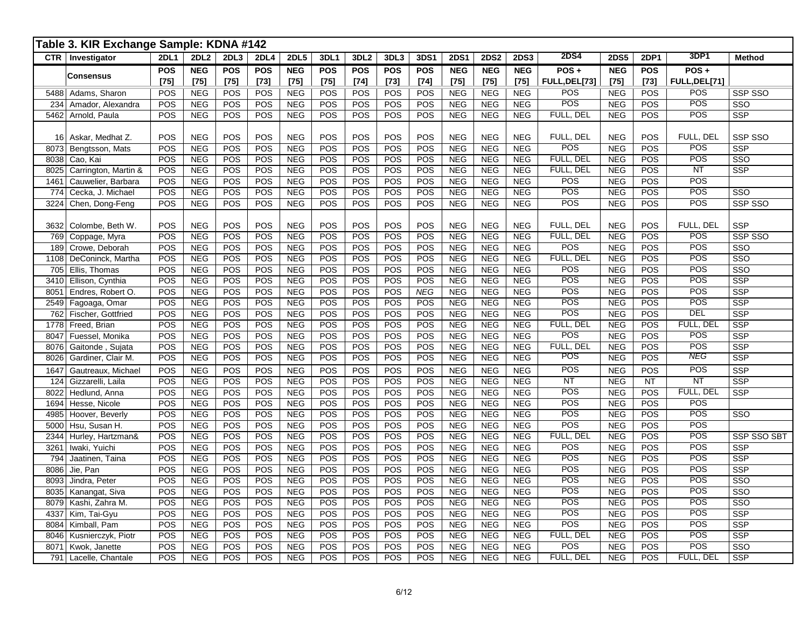|             | Table 3. KIR Exchange Sample: KDNA #142 |                      |                          |                  |               |                          |                      |                      |                      |                      |                      |                          |                          |                         |                          |                      |                               |                    |
|-------------|-----------------------------------------|----------------------|--------------------------|------------------|---------------|--------------------------|----------------------|----------------------|----------------------|----------------------|----------------------|--------------------------|--------------------------|-------------------------|--------------------------|----------------------|-------------------------------|--------------------|
|             | CTR   Investigator                      | <b>2DL1</b>          | <b>2DL2</b>              | 2DL <sub>3</sub> | <b>2DL4</b>   | <b>2DL5</b>              | 3DL1                 | 3DL <sub>2</sub>     | 3DL3                 | 3DS1                 | <b>2DS1</b>          | <b>2DS2</b>              | <b>2DS3</b>              | <b>2DS4</b>             | <b>2DS5</b>              | <b>2DP1</b>          | 3DP1                          | <b>Method</b>      |
|             | Consensus                               | <b>POS</b><br>$[75]$ | <b>NEG</b><br>$[75]$     | POS<br>$[75]$    | POS<br>$[73]$ | <b>NEG</b><br>$[75]$     | <b>POS</b><br>$[75]$ | <b>POS</b><br>$[74]$ | <b>POS</b><br>$[73]$ | <b>POS</b><br>$[74]$ | <b>NEG</b><br>$[75]$ | <b>NEG</b><br>$[75]$     | <b>NEG</b><br>$[75]$     | POS+<br>FULL, DEL[73]   | <b>NEG</b><br>$[75]$     | <b>POS</b><br>$[73]$ | $POS +$<br>FULL, DEL[71]      |                    |
|             | 5488 Adams, Sharon                      | POS                  | <b>NEG</b>               | POS              | POS           | <b>NEG</b>               | POS                  | POS                  | <b>POS</b>           | POS                  | <b>NEG</b>           | <b>NEG</b>               | <b>NEG</b>               | <b>POS</b>              | <b>NEG</b>               | <b>POS</b>           | POS                           | SSP SSO            |
| 234         | Amador, Alexandra                       | POS                  | <b>NEG</b>               | POS              | POS           | <b>NEG</b>               | POS                  | POS                  | <b>POS</b>           | POS                  | <b>NEG</b>           | <b>NEG</b>               | <b>NEG</b>               | POS                     | <b>NEG</b>               | POS                  | POS                           | SSO                |
| 5462        | Arnold, Paula                           | POS                  | <b>NEG</b>               | POS              | POS           | <b>NEG</b>               | POS                  | POS                  | POS                  | POS                  | <b>NEG</b>           | <b>NEG</b>               | <b>NEG</b>               | FULL, DEL               | <b>NEG</b>               | POS                  | <b>POS</b>                    | <b>SSP</b>         |
|             |                                         |                      |                          |                  |               |                          |                      |                      |                      |                      |                      |                          |                          |                         |                          |                      |                               |                    |
| 16          | Askar, Medhat Z.                        | POS                  | <b>NEG</b>               | POS              | POS           | <b>NEG</b>               | POS                  | POS                  | POS                  | POS                  | <b>NEG</b>           | <b>NEG</b>               | <b>NEG</b>               | FULL, DEL               | <b>NEG</b>               | POS                  | FULL, DEL                     | <b>SSP SSO</b>     |
| 8073        | Bengtsson, Mats                         | POS                  | <b>NEG</b>               | POS              | POS           | <b>NEG</b>               | POS                  | POS                  | POS                  | POS                  | <b>NEG</b>           | NEG                      | <b>NEG</b>               | POS                     | <b>NEG</b>               | POS                  | POS                           | <b>SSP</b>         |
| 8038        | Cao, Kai                                | POS                  | <b>NEG</b>               | POS              | POS           | <b>NEG</b>               | POS                  | POS                  | POS                  | POS                  | <b>NEG</b>           | <b>NEG</b>               | <b>NEG</b>               | FULL, DEL               | <b>NEG</b>               | POS                  | <b>POS</b><br>$\overline{NT}$ | SSO                |
| 8025        | Carrington, Martin &                    | POS                  | <b>NEG</b>               | POS<br>POS       | POS<br>POS    | <b>NEG</b>               | POS                  | POS                  | POS                  | POS<br>POS           | <b>NEG</b><br>NEG    | <b>NEG</b>               | <b>NEG</b>               | FULL, DEL<br><b>POS</b> | <b>NEG</b>               | POS                  | POS                           | <b>SSP</b>         |
| 1461        | Cauwelier, Barbara                      | POS<br>POS           | <b>NEG</b><br><b>NEG</b> | POS              | POS           | <b>NEG</b><br><b>NEG</b> | POS<br>POS           | POS<br>POS           | POS<br>POS           | POS                  | <b>NEG</b>           | <b>NEG</b><br><b>NEG</b> | <b>NEG</b><br><b>NEG</b> | POS                     | <b>NEG</b><br><b>NEG</b> | POS<br>POS           | POS                           | SSO                |
| 774<br>3224 | Cecka, J. Michael                       | POS                  | <b>NEG</b>               | POS              | POS           | <b>NEG</b>               | POS                  | POS                  | POS                  | POS                  | <b>NEG</b>           | <b>NEG</b>               | <b>NEG</b>               | POS                     | <b>NEG</b>               | POS                  | POS                           | SSP SSO            |
|             | Chen, Dong-Feng                         |                      |                          |                  |               |                          |                      |                      |                      |                      |                      |                          |                          |                         |                          |                      |                               |                    |
| 3632        | Colombe, Beth W.                        | POS                  | <b>NEG</b>               | POS              | POS           | <b>NEG</b>               | POS                  | POS                  | POS                  | POS                  | <b>NEG</b>           | <b>NEG</b>               | <b>NEG</b>               | FULL, DEL               | <b>NEG</b>               | POS                  | FULL, DEL                     | <b>SSP</b>         |
| 769         | Coppage, Myra                           | POS                  | <b>NEG</b>               | POS              | POS           | <b>NEG</b>               | POS                  | POS                  | POS                  | POS                  | <b>NEG</b>           | <b>NEG</b>               | <b>NEG</b>               | FULL, DEL               | <b>NEG</b>               | POS                  | POS                           | SSP SSO            |
| 189         | Crowe, Deborah                          | POS                  | <b>NEG</b>               | POS              | POS           | <b>NEG</b>               | POS                  | POS                  | POS                  | POS                  | NEG                  | <b>NEG</b>               | NEG                      | POS                     | <b>NEG</b>               | POS                  | <b>POS</b>                    | SSO                |
| 1108        | DeConinck, Martha                       | POS                  | <b>NEG</b>               | POS              | POS           | <b>NEG</b>               | POS                  | POS                  | POS                  | POS                  | <b>NEG</b>           | <b>NEG</b>               | <b>NEG</b>               | FULL, DEL               | <b>NEG</b>               | POS                  | <b>POS</b>                    | SSO                |
| 705         | Ellis, Thomas                           | POS                  | <b>NEG</b>               | POS              | POS           | <b>NEG</b>               | POS                  | POS                  | POS                  | POS                  | <b>NEG</b>           | <b>NEG</b>               | <b>NEG</b>               | <b>POS</b>              | <b>NEG</b>               | POS                  | POS                           | SSO                |
| 3410        | Ellison, Cynthia                        | <b>POS</b>           | <b>NEG</b>               | POS              | POS           | <b>NEG</b>               | POS                  | POS                  | POS                  | POS                  | <b>NEG</b>           | <b>NEG</b>               | <b>NEG</b>               | <b>POS</b>              | <b>NEG</b>               | POS                  | POS                           | <b>SSP</b>         |
| 8051        | Endres, Robert O.                       | <b>POS</b>           | <b>NEG</b>               | POS              | POS           | <b>NEG</b>               | POS                  | POS                  | POS                  | <b>NEG</b>           | <b>NEG</b>           | <b>NEG</b>               | <b>NEG</b>               | POS                     | <b>NEG</b>               | POS                  | <b>POS</b>                    | <b>SSP</b>         |
| 2549        | Fagoaga, Omar                           | POS                  | <b>NEG</b>               | POS              | POS           | <b>NEG</b>               | POS                  | POS                  | POS                  | POS                  | <b>NEG</b>           | <b>NEG</b>               | <b>NEG</b>               | POS                     | <b>NEG</b>               | POS                  | POS                           | <b>SSP</b>         |
| 762         | <b>Fischer, Gottfried</b>               | POS                  | <b>NEG</b>               | POS              | POS           | <b>NEG</b>               | POS                  | POS                  | <b>POS</b>           | POS                  | <b>NEG</b>           | <b>NEG</b>               | <b>NEG</b>               | POS                     | <b>NEG</b>               | POS                  | <b>DEL</b>                    | <b>SSP</b>         |
| 1778        | Freed, Brian                            | POS                  | <b>NEG</b>               | POS              | POS           | <b>NEG</b>               | POS                  | POS                  | <b>POS</b>           | POS                  | NEG                  | <b>NEG</b>               | <b>NEG</b>               | FULL, DEL               | <b>NEG</b>               | POS                  | FULL, DEL                     | <b>SSP</b>         |
| 8047        | Fuessel, Monika                         | POS                  | <b>NEG</b>               | POS              | POS           | NEG                      | POS                  | POS                  | <b>POS</b>           | POS                  | <b>NEG</b>           | <b>NEG</b>               | <b>NEG</b>               | POS                     | <b>NEG</b>               | POS                  | POS                           | SSP                |
| 8076        | Gaitonde, Sujata                        | <b>POS</b>           | <b>NEG</b>               | POS              | POS           | <b>NEG</b>               | POS                  | POS                  | POS                  | POS                  | <b>NEG</b>           | <b>NEG</b>               | <b>NEG</b>               | FULL, DEL               | <b>NEG</b>               | POS                  | $\overline{POS}$              | <b>SSP</b>         |
| 8026        | Gardiner, Clair M.                      | <b>POS</b>           | <b>NEG</b>               | POS              | POS           | NEG                      | POS                  | POS                  | POS                  | POS                  | <b>NEG</b>           | <b>NEG</b>               | <b>NEG</b>               | POS                     | <b>NEG</b>               | POS                  | <b>NEG</b>                    | <b>SSP</b>         |
| 1647        | Gautreaux, Michael                      | POS                  | <b>NEG</b>               | POS              | POS           | <b>NEG</b>               | POS                  | POS                  | POS                  | POS                  | <b>NEG</b>           | <b>NEG</b>               | <b>NEG</b>               | POS                     | <b>NEG</b>               | POS                  | POS                           | <b>SSP</b>         |
| 124         | Gizzarelli, Laila                       | POS                  | <b>NEG</b>               | POS              | POS           | <b>NEG</b>               | POS                  | POS                  | POS                  | POS                  | <b>NEG</b>           | <b>NEG</b>               | <b>NEG</b>               | <b>NT</b>               | <b>NEG</b>               | <b>NT</b>            | $\overline{NT}$               | <b>SSP</b>         |
| 8022        | Hedlund, Anna                           | POS                  | <b>NEG</b>               | POS              | POS           | <b>NEG</b>               | POS                  | POS                  | <b>POS</b>           | POS                  | <b>NEG</b>           | <b>NEG</b>               | <b>NEG</b>               | POS                     | <b>NEG</b>               | POS                  | FULL, DEL                     | <b>SSP</b>         |
| 1694        | Hesse, Nicole                           | POS                  | <b>NEG</b>               | POS              | POS           | NEG                      | POS                  | POS                  | POS                  | POS                  | NEG                  | <b>NEG</b>               | <b>NEG</b>               | POS                     | NEG                      | POS                  | $\overline{POS}$              |                    |
| 4985        | Hoover, Beverly                         | POS                  | <b>NEG</b>               | POS              | POS           | <b>NEG</b>               | POS                  | POS                  | POS                  | POS                  | <b>NEG</b>           | <b>NEG</b>               | NEG                      | POS                     | <b>NEG</b>               | POS                  | POS                           | SSO                |
| 5000        | Hsu, Susan H.                           | POS                  | <b>NEG</b>               | POS              | POS           | <b>NEG</b>               | POS                  | POS                  | POS                  | POS                  | NEG                  | <b>NEG</b>               | <b>NEG</b>               | POS                     | <b>NEG</b>               | POS                  | POS                           |                    |
| 2344        | Hurley, Hartzman&                       | POS                  | <b>NEG</b>               | POS              | POS           | <b>NEG</b>               | POS                  | POS                  | POS                  | POS                  | <b>NEG</b>           | <b>NEG</b>               | <b>NEG</b>               | FULL, DEL               | <b>NEG</b>               | POS                  | POS                           | <b>SSP SSO SBT</b> |
| 3261        | Iwaki, Yuichi                           | POS                  | <b>NEG</b>               | POS              | POS           | <b>NEG</b>               | POS                  | POS                  | POS                  | POS                  | <b>NEG</b>           | <b>NEG</b>               | <b>NEG</b>               | POS                     | <b>NEG</b>               | POS                  | POS                           | <b>SSP</b>         |
| 794         | Jaatinen, Taina                         | POS                  | <b>NEG</b>               | POS              | POS           | NEG                      | POS                  | POS                  | POS                  | POS                  | <b>NEG</b>           | <b>NEG</b>               | <b>NEG</b>               | POS                     | <b>NEG</b>               | POS                  | $\overline{POS}$              | <b>SSP</b>         |
| 8086        | Jie, Pan                                | POS                  | <b>NEG</b>               | POS              | POS           | <b>NEG</b>               | POS                  | POS                  | POS                  | POS                  | <b>NEG</b>           | NEG                      | <b>NEG</b>               | POS                     | <b>NEG</b>               | POS                  | POS                           | <b>SSP</b>         |
| 8093        | Jindra, Peter                           | POS                  | <b>NEG</b>               | POS              | POS           | NEG                      | POS                  | POS                  | POS                  | POS                  | <b>NEG</b>           | <b>NEG</b>               | <b>NEG</b>               | POS                     | <b>NEG</b>               | POS                  | POS                           | SSO                |
| 8035        | Kanangat, Siva                          | POS                  | <b>NEG</b>               | POS              | POS           | <b>NEG</b>               | POS                  | POS                  | POS                  | POS                  | <b>NEG</b>           | <b>NEG</b>               | <b>NEG</b>               | POS                     | <b>NEG</b>               | POS                  | POS                           | SSO                |
| 8079        | Kashi, Zahra M.                         | POS                  | <b>NEG</b>               | POS              | POS           | <b>NEG</b>               | POS                  | POS                  | POS                  | POS                  | <b>NEG</b>           | <b>NEG</b>               | <b>NEG</b>               | POS                     | <b>NEG</b>               | POS                  | POS                           | SSO                |
| 4337        | Kim, Tai-Gyu                            | POS                  | <b>NEG</b>               | POS              | POS           | <b>NEG</b>               | POS                  | POS                  | POS                  | POS                  | NEG                  | <b>NEG</b>               | <b>NEG</b>               | POS                     | <b>NEG</b>               | POS                  | POS                           | SSP                |
| 8084        | Kimball, Pam                            | POS                  | NEG                      | POS              | POS           | NEG                      | POS                  | POS                  | POS                  | POS                  | NEG                  | NEG                      | NEG                      | POS                     | <b>NEG</b>               | POS                  | POS                           | <b>SSP</b>         |
| 8046        | Kusnierczyk, Piotr                      | POS                  | <b>NEG</b>               | POS              | POS           | <b>NEG</b>               | POS                  | POS                  | POS                  | POS                  | <b>NEG</b>           | <b>NEG</b>               | <b>NEG</b>               | FULL, DEL               | <b>NEG</b>               | POS                  | POS                           | <b>SSP</b>         |
| 8071        | Kwok, Janette                           | POS                  | <b>NEG</b>               | POS              | POS           | <b>NEG</b>               | POS                  | POS                  | POS                  | POS                  | <b>NEG</b>           | <b>NEG</b>               | <b>NEG</b>               | POS                     | <b>NEG</b>               | POS                  | POS                           | SSO                |
|             | 791 Lacelle, Chantale                   | POS                  | <b>NEG</b>               | POS              | POS           | <b>NEG</b>               | POS                  | POS                  | POS                  | POS                  | <b>NEG</b>           | <b>NEG</b>               | <b>NEG</b>               | FULL, DEL               | <b>NEG</b>               | POS                  | FULL, DEL                     | <b>SSP</b>         |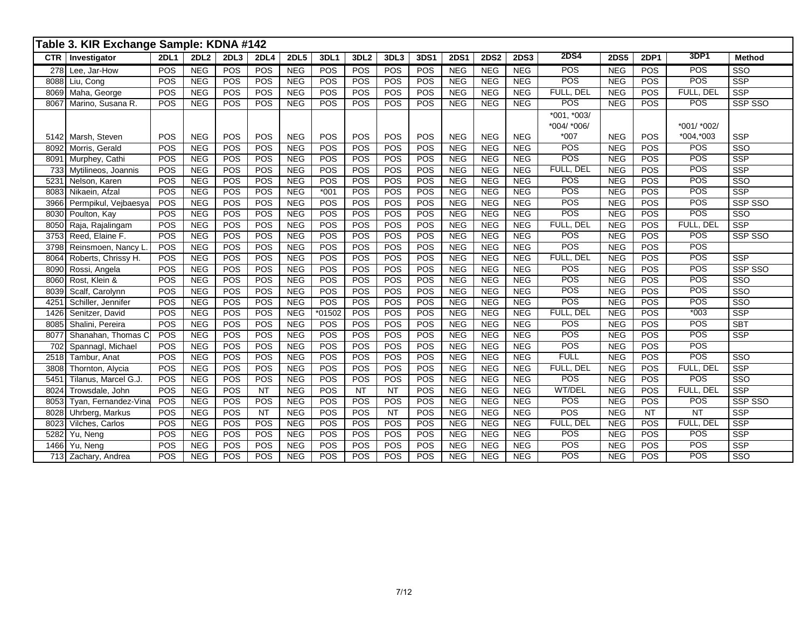|            | Table 3. KIR Exchange Sample: KDNA #142 |             |                  |                  |             |             |            |                  |           |            |             |             |             |                  |             |             |             |                         |
|------------|-----------------------------------------|-------------|------------------|------------------|-------------|-------------|------------|------------------|-----------|------------|-------------|-------------|-------------|------------------|-------------|-------------|-------------|-------------------------|
| <b>CTR</b> | Investigator                            | <b>2DL1</b> | 2DL <sub>2</sub> | 2DL3             | <b>2DL4</b> | <b>2DL5</b> | 3DL1       | 3DL <sub>2</sub> | 3DL3      | 3DS1       | <b>2DS1</b> | <b>2DS2</b> | <b>2DS3</b> | <b>2DS4</b>      | <b>2DS5</b> | <b>2DP1</b> | 3DP1        | <b>Method</b>           |
| 278        | Lee, Jar-How                            | POS         | <b>NEG</b>       | POS              | POS         | <b>NEG</b>  | POS        | POS              | POS       | POS        | <b>NEG</b>  | <b>NEG</b>  | <b>NEG</b>  | <b>POS</b>       | <b>NEG</b>  | POS         | <b>POS</b>  | SSO                     |
| 8088       | Liu, Cong                               | POS         | NEG              | POS              | POS         | <b>NEG</b>  | POS        | POS              | POS       | POS        | NEG         | NEG         | NEG         | <b>POS</b>       | <b>NEG</b>  | POS         | <b>POS</b>  | <b>SSP</b>              |
| 8069       | Maha, George                            | POS         | <b>NEG</b>       | POS              | POS         | <b>NEG</b>  | POS        | POS              | POS       | POS        | <b>NEG</b>  | <b>NEG</b>  | <b>NEG</b>  | FULL, DEL        | <b>NEG</b>  | POS         | FULL, DEL   | <b>SSP</b>              |
| 8067       | Marino, Susana R.                       | POS         | <b>NEG</b>       | POS              | POS         | <b>NEG</b>  | POS        | POS              | POS       | POS        | <b>NEG</b>  | <b>NEG</b>  | <b>NEG</b>  | <b>POS</b>       | <b>NEG</b>  | POS         | POS         | SSP SSO                 |
|            |                                         |             |                  |                  |             |             |            |                  |           |            |             |             |             | $*001, *003/$    |             |             |             |                         |
|            |                                         |             |                  |                  |             |             |            |                  |           |            |             |             |             | *004/ *006/      |             |             | *001/ *002/ |                         |
|            | 5142 Marsh, Steven                      | POS         | <b>NEG</b>       | POS              | POS         | <b>NEG</b>  | <b>POS</b> | POS              | POS       | <b>POS</b> | <b>NEG</b>  | <b>NEG</b>  | <b>NEG</b>  | $*007$           | <b>NEG</b>  | POS         | *004,*003   | <b>SSP</b>              |
| 8092       | Morris, Gerald                          | POS         | <b>NEG</b>       | <b>POS</b>       | POS         | <b>NEG</b>  | POS        | POS              | POS       | POS        | <b>NEG</b>  | <b>NEG</b>  | <b>NEG</b>  | POS              | <b>NEG</b>  | POS         | <b>POS</b>  | $\overline{\text{SSO}}$ |
| 8091       | Murphey, Cathi                          | POS         | NEG              | POS              | POS         | <b>NEG</b>  | POS        | POS              | POS       | POS        | <b>NEG</b>  | <b>NEG</b>  | <b>NEG</b>  | POS              | <b>NEG</b>  | POS         | POS         | <b>SSP</b>              |
| 733        | Mytilineos, Joannis                     | POS         | NEG              | POS              | POS         | <b>NEG</b>  | POS        | POS              | POS       | POS        | NEG         | NEG         | <b>NEG</b>  | FULL, DEL        | <b>NEG</b>  | POS         | <b>POS</b>  | <b>SSP</b>              |
| 5231       | Nelson, Karen                           | POS         | <b>NEG</b>       | POS              | POS         | <b>NEG</b>  | POS        | POS              | POS       | POS        | NEG         | <b>NEG</b>  | <b>NEG</b>  | POS              | <b>NEG</b>  | POS         | POS         | SSO                     |
| 8083       | Nikaein, Afzal                          | POS         | <b>NEG</b>       | POS              | POS         | <b>NEG</b>  | $*001$     | POS              | POS       | POS        | <b>NEG</b>  | <b>NEG</b>  | <b>NEG</b>  | POS              | <b>NEG</b>  | POS         | POS         | <b>SSP</b>              |
| 3966       | Permpikul, Vejbaesya                    | POS         | NEG              | POS              | POS         | <b>NEG</b>  | POS        | POS              | POS       | POS        | NEG         | <b>NEG</b>  | NEG         | POS              | <b>NEG</b>  | POS         | POS         | SSP SSO                 |
| 8030       | Poulton, Kay                            | POS         | <b>NEG</b>       | POS              | POS         | <b>NEG</b>  | POS        | POS              | POS       | POS        | <b>NEG</b>  | <b>NEG</b>  | <b>NEG</b>  | $\overline{POS}$ | <b>NEG</b>  | POS         | POS         | SSO                     |
| 8050       | Raja, Rajalingam                        | POS         | <b>NEG</b>       | POS              | POS         | <b>NEG</b>  | POS        | POS              | POS       | POS        | <b>NEG</b>  | <b>NEG</b>  | <b>NEG</b>  | FULL, DEL        | <b>NEG</b>  | POS         | FULL, DEL   | <b>SSP</b>              |
| 3753       | Reed, Elaine F.                         | <b>POS</b>  | <b>NEG</b>       | POS              | POS         | NEG         | POS        | POS              | POS       | POS        | NEG         | <b>NEG</b>  | <b>NEG</b>  | POS              | <b>NEG</b>  | POS         | <b>POS</b>  | SSP SSO                 |
| 3798       | Reinsmoen, Nancy L                      | POS         | <b>NEG</b>       | POS              | POS         | <b>NEG</b>  | POS        | POS              | POS       | POS        | <b>NEG</b>  | <b>NEG</b>  | <b>NEG</b>  | POS              | <b>NEG</b>  | POS         | POS         |                         |
| 8064       | Roberts, Chrissy H.                     | POS         | NEG              | POS              | POS         | NEG         | POS        | POS              | POS       | POS        | NEG         | <b>NEG</b>  | <b>NEG</b>  | FULL, DEL        | <b>NEG</b>  | POS         | POS         | <b>SSP</b>              |
| 8090       | Rossi, Angela                           | POS         | NEG              | POS              | POS         | NEG         | POS        | POS              | POS       | POS        | NEG         | <b>NEG</b>  | <b>NEG</b>  | POS              | <b>NEG</b>  | POS         | POS         | SSP SSO                 |
| 8060       | Rost, Klein &                           | POS         | NEG              | $\overline{POS}$ | POS         | <b>NEG</b>  | POS        | POS              | POS       | POS        | <b>NEG</b>  | <b>NEG</b>  | <b>NEG</b>  | POS              | <b>NEG</b>  | POS         | <b>POS</b>  | $\overline{\text{SSO}}$ |
| 8039       | Scalf, Carolynn                         | POS         | <b>NEG</b>       | POS              | POS         | <b>NEG</b>  | <b>POS</b> | POS              | POS       | POS        | <b>NEG</b>  | <b>NEG</b>  | <b>NEG</b>  | POS              | <b>NEG</b>  | POS         | POS         | $\overline{\text{SSO}}$ |
| 4251       | Schiller, Jennifer                      | POS         | <b>NEG</b>       | POS              | POS         | <b>NEG</b>  | POS        | POS              | POS       | POS        | <b>NEG</b>  | <b>NEG</b>  | <b>NEG</b>  | POS              | <b>NEG</b>  | POS         | POS         | SSO                     |
| 1426       | Senitzer, David                         | POS         | <b>NEG</b>       | POS              | POS         | <b>NEG</b>  | *01502     | POS              | POS       | POS        | NEG         | NEG         | <b>NEG</b>  | FULL, DEL        | <b>NEG</b>  | POS         | $*003$      | <b>SSP</b>              |
| 8085       | Shalini, Pereira                        | POS         | <b>NEG</b>       | POS              | POS         | <b>NEG</b>  | POS        | POS              | POS       | POS        | <b>NEG</b>  | <b>NEG</b>  | <b>NEG</b>  | <b>POS</b>       | <b>NEG</b>  | POS         | POS         | <b>SBT</b>              |
| 8077       | Shanahan, Thomas C                      | POS         | <b>NEG</b>       | POS              | POS         | <b>NEG</b>  | POS        | POS              | POS       | POS        | <b>NEG</b>  | <b>NEG</b>  | <b>NEG</b>  | <b>POS</b>       | <b>NEG</b>  | POS         | POS         | <b>SSP</b>              |
| 702        | Spannagl, Michael                       | POS         | <b>NEG</b>       | POS              | POS         | NEG         | POS        | POS              | POS       | POS        | NEG         | <b>NEG</b>  | <b>NEG</b>  | POS              | <b>NEG</b>  | POS         | <b>POS</b>  |                         |
| 2518       | Tambur, Anat                            | POS         | <b>NEG</b>       | POS              | POS         | <b>NEG</b>  | POS        | POS              | POS       | POS        | <b>NEG</b>  | <b>NEG</b>  | <b>NEG</b>  | <b>FULL</b>      | <b>NEG</b>  | POS         | POS         | SSO                     |
| 3808       | Thornton, Alycia                        | POS         | NEG              | POS              | POS         | NEG         | POS        | POS              | POS       | POS        | NEG         | <b>NEG</b>  | <b>NEG</b>  | FULL, DEL        | <b>NEG</b>  | POS         | FULL, DEL   | <b>SSP</b>              |
| 5451       | Tilanus, Marcel G.J.                    | POS         | <b>NEG</b>       | POS              | POS         | <b>NEG</b>  | POS        | POS              | POS       | POS        | NEG         | <b>NEG</b>  | <b>NEG</b>  | <b>POS</b>       | <b>NEG</b>  | POS         | <b>POS</b>  | SSO                     |
| 8024       | Trowsdale, John                         | POS         | <b>NEG</b>       | POS              | <b>NT</b>   | <b>NEG</b>  | POS        | <b>NT</b>        | <b>NT</b> | POS        | <b>NEG</b>  | <b>NEG</b>  | <b>NEG</b>  | WT/DEL           | <b>NEG</b>  | POS         | FULL, DEL   | <b>SSP</b>              |
| 8053       | Tyan, Fernandez-Vina                    | POS         | <b>NEG</b>       | POS              | POS         | <b>NEG</b>  | POS        | POS              | POS       | POS        | <b>NEG</b>  | <b>NEG</b>  | <b>NEG</b>  | POS              | <b>NEG</b>  | POS         | POS         | SSP SSO                 |
| 8028       | Uhrberg, Markus                         | POS         | <b>NEG</b>       | POS              | NT          | <b>NEG</b>  | POS        | POS              | NT        | POS        | <b>NEG</b>  | <b>NEG</b>  | <b>NEG</b>  | POS              | <b>NEG</b>  | NT          | <b>NT</b>   | <b>SSP</b>              |
| 8023       | Vilches, Carlos                         | POS         | <b>NEG</b>       | POS              | POS         | <b>NEG</b>  | POS        | POS              | POS       | POS        | <b>NEG</b>  | <b>NEG</b>  | <b>NEG</b>  | FULL, DEL        | <b>NEG</b>  | POS         | FULL, DEL   | <b>SSP</b>              |
| 5282       | Yu, Neng                                | POS         | NEG              | POS              | POS         | <b>NEG</b>  | POS        | POS              | POS       | POS        | NEG         | NEG         | <b>NEG</b>  | POS              | <b>NEG</b>  | POS         | <b>POS</b>  | <b>SSP</b>              |
| 1466       | Yu. Nena                                | POS         | <b>NEG</b>       | POS              | POS         | <b>NEG</b>  | POS        | POS              | POS       | POS        | NEG         | <b>NEG</b>  | <b>NEG</b>  | <b>POS</b>       | <b>NEG</b>  | POS         | <b>POS</b>  | <b>SSP</b>              |
|            | 713 Zachary, Andrea                     | POS         | <b>NEG</b>       | POS              | POS         | <b>NEG</b>  | POS        | POS              | POS       | POS        | <b>NEG</b>  | <b>NEG</b>  | <b>NEG</b>  | POS              | <b>NEG</b>  | POS         | <b>POS</b>  | SSO                     |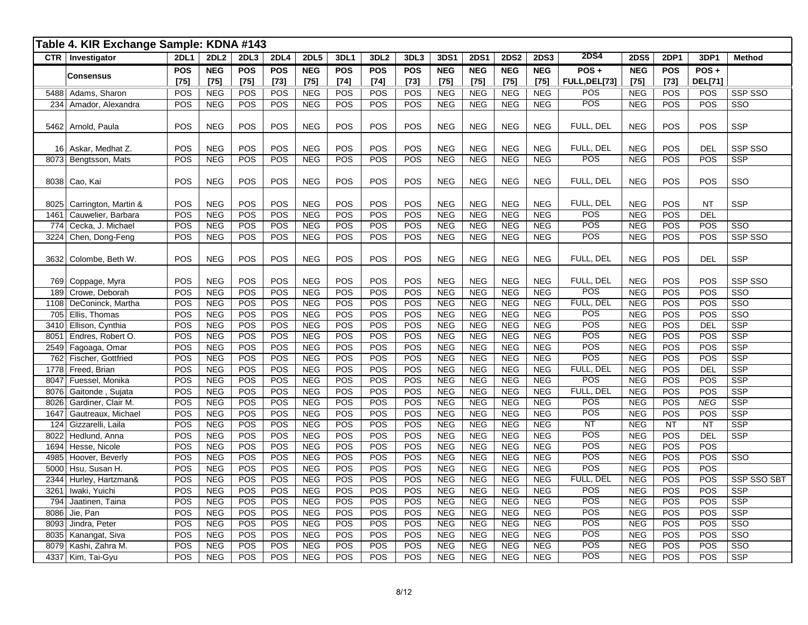|              | Table 4. KIR Exchange Sample: KDNA #143 |                      |                          |                      |                      |                          |                      |                      |                      |                          |                          |                      |                          |                          |                      |                      |                        |                                       |
|--------------|-----------------------------------------|----------------------|--------------------------|----------------------|----------------------|--------------------------|----------------------|----------------------|----------------------|--------------------------|--------------------------|----------------------|--------------------------|--------------------------|----------------------|----------------------|------------------------|---------------------------------------|
|              | <b>CTR</b>   Investigator               | <b>2DL1</b>          | <b>2DL2</b>              | <b>2DL3</b>          | <b>2DL4</b>          | <b>2DL5</b>              | 3DL1                 | 3DL <sub>2</sub>     | 3DL3                 | 3DS1                     | <b>2DS1</b>              | <b>2DS2</b>          | <b>2DS3</b>              | <b>2DS4</b>              | <b>2DS5</b>          | <b>2DP1</b>          | 3DP1                   | Method                                |
|              | <b>Consensus</b>                        | <b>POS</b><br>$[75]$ | <b>NEG</b><br>$[75]$     | <b>POS</b><br>$[75]$ | <b>POS</b><br>$[73]$ | <b>NEG</b><br>$[75]$     | <b>POS</b><br>$[74]$ | <b>POS</b><br>$[74]$ | <b>POS</b><br>$[73]$ | <b>NEG</b><br>$[75]$     | <b>NEG</b><br>$[75]$     | <b>NEG</b><br>$[75]$ | <b>NEG</b><br>$[75]$     | $POS +$<br>FULL, DEL[73] | <b>NEG</b><br>$[75]$ | <b>POS</b><br>$[73]$ | POS+<br><b>DEL[71]</b> |                                       |
|              | 5488 Adams, Sharon                      | POS                  | <b>NEG</b>               | POS                  | POS                  | <b>NEG</b>               | POS                  | POS                  | POS                  | <b>NEG</b>               | <b>NEG</b>               | <b>NEG</b>           | <b>NEG</b>               | POS                      | <b>NEG</b>           | POS                  | POS                    | SSP SSO                               |
|              | 234 Amador, Alexandra                   | POS                  | <b>NEG</b>               | POS                  | POS                  | <b>NEG</b>               | POS                  | POS                  | POS                  | <b>NEG</b>               | <b>NEG</b>               | NEG                  | <b>NEG</b>               | <b>POS</b>               | <b>NEG</b>           | POS                  | POS                    | SSO                                   |
|              |                                         |                      |                          |                      |                      |                          |                      |                      |                      |                          |                          |                      |                          |                          |                      |                      |                        |                                       |
|              | 5462 Arnold, Paula                      | POS                  | <b>NEG</b>               | POS                  | POS                  | <b>NEG</b>               | POS                  | POS                  | POS                  | $NEG$                    | <b>NEG</b>               | <b>NEG</b>           | <b>NEG</b>               | FULL, DEL                | <b>NEG</b>           | POS                  | POS                    | <b>SSP</b>                            |
|              |                                         |                      |                          |                      |                      |                          |                      |                      |                      |                          |                          |                      |                          |                          |                      |                      |                        |                                       |
|              | 16 Askar, Medhat Z.                     | POS                  | <b>NEG</b>               | POS                  | POS                  | <b>NEG</b>               | POS                  | POS                  | POS                  | <b>NEG</b>               | <b>NEG</b>               | <b>NEG</b>           | <b>NEG</b>               | FULL, DEL                | <b>NEG</b>           | POS                  | <b>DEL</b>             | <b>SSP SSO</b>                        |
| 8073         | Bengtsson, Mats                         | POS                  | <b>NEG</b>               | POS                  | POS                  | <b>NEG</b>               | POS                  | POS                  | POS                  | NEG                      | NEG                      | <b>NEG</b>           | <b>NEG</b>               | <b>POS</b>               | <b>NEG</b>           | POS                  | POS                    | <b>SSP</b>                            |
|              | 8038 Cao, Kai                           | POS                  | <b>NEG</b>               | POS                  | POS                  | <b>NEG</b>               | POS                  | POS                  | POS                  | <b>NEG</b>               | <b>NEG</b>               | <b>NEG</b>           | <b>NEG</b>               | FULL, DEL                | <b>NEG</b>           | POS                  | POS                    | SSO                                   |
|              |                                         |                      |                          |                      |                      |                          |                      |                      |                      |                          |                          |                      |                          |                          |                      |                      |                        |                                       |
| 8025         | Carrington, Martin &                    | POS                  | <b>NEG</b>               | POS                  | POS                  | <b>NEG</b>               | POS                  | POS                  | POS                  | <b>NEG</b>               | <b>NEG</b>               | <b>NEG</b>           | <b>NEG</b>               | FULL, DEL                | <b>NEG</b>           | POS                  | <b>NT</b>              | <b>SSP</b>                            |
| 1461         | Cauwelier, Barbara                      | POS                  | <b>NEG</b>               | POS                  | POS                  | <b>NEG</b>               | POS                  | POS                  | POS                  | <b>NEG</b>               | <b>NEG</b>               | <b>NEG</b>           | <b>NEG</b>               | POS                      | <b>NEG</b>           | POS                  | <b>DEL</b>             |                                       |
| 774          | Cecka, J. Michael                       | POS                  | NEG                      | POS                  | POS                  | <b>NEG</b>               | POS                  | POS                  | POS                  | <b>NEG</b>               | <b>NEG</b>               | <b>NEG</b>           | <b>NEG</b>               | POS                      | <b>NEG</b>           | POS                  | POS                    | SSO                                   |
| 3224         | Chen, Dong-Feng                         | POS                  | <b>NEG</b>               | POS                  | POS                  | <b>NEG</b>               | POS                  | POS                  | <b>POS</b>           | <b>NEG</b>               | <b>NEG</b>               | <b>NEG</b>           | <b>NEG</b>               | POS                      | <b>NEG</b>           | POS                  | POS                    | SSP SSO                               |
|              |                                         |                      |                          |                      |                      |                          |                      |                      |                      |                          |                          |                      |                          |                          |                      |                      |                        |                                       |
|              | 3632 Colombe, Beth W.                   | POS                  | <b>NEG</b>               | POS                  | POS                  | <b>NEG</b>               | POS                  | POS                  | POS                  | <b>NEG</b>               | <b>NEG</b>               | <b>NEG</b>           | <b>NEG</b>               | FULL, DEL                | <b>NEG</b>           | POS                  | <b>DEL</b>             | <b>SSP</b>                            |
|              |                                         |                      |                          |                      |                      |                          |                      |                      |                      |                          |                          |                      |                          |                          |                      |                      |                        |                                       |
| 769          | Coppage, Myra                           | POS                  | <b>NEG</b>               | POS                  | POS                  | <b>NEG</b>               | POS                  | POS                  | POS                  | <b>NEG</b>               | <b>NEG</b>               | <b>NEG</b>           | <b>NEG</b>               | FULL, DEL                | <b>NEG</b>           | POS                  | POS                    | SSP SSO                               |
| 189          | Crowe, Deborah                          | POS                  | <b>NEG</b>               | POS                  | POS                  | <b>NEG</b>               | POS                  | POS                  | POS                  | NEG                      | <b>NEG</b>               | <b>NEG</b>           | <b>NEG</b>               | <b>POS</b>               | <b>NEG</b>           | POS                  | POS                    | SSO                                   |
| 1108         | DeConinck, Martha                       | POS                  | <b>NEG</b>               | POS                  | POS                  | <b>NEG</b>               | POS                  | POS                  | POS                  | <b>NEG</b>               | <b>NEG</b>               | <b>NEG</b>           | <b>NEG</b>               | FULL, DEL                | <b>NEG</b>           | POS                  | POS                    | SSO                                   |
| 705          | Ellis, Thomas                           | POS                  | <b>NEG</b>               | POS                  | POS                  | <b>NEG</b>               | POS                  | POS                  | POS                  | NEG                      | NEG                      | NEG                  | NEG                      | POS                      | NEG                  | POS                  | POS                    | $\overline{\text{SSO}}$               |
| 3410         | Ellison, Cynthia                        | POS                  | <b>NEG</b>               | POS                  | POS                  | NEG                      | POS                  | POS                  | POS                  | NEG                      | NEG                      | NEG                  | <b>NEG</b>               | POS                      | <b>NEG</b>           | POS                  | <b>DEL</b>             | $\overline{\text{SSP}}$               |
| 8051         | Endres, Robert O.                       | POS                  | <b>NEG</b>               | POS                  | POS                  | <b>NEG</b>               | POS                  | POS                  | POS                  | <b>NEG</b>               | <b>NEG</b>               | <b>NEG</b>           | <b>NEG</b>               | POS                      | <b>NEG</b>           | POS                  | POS                    | SSP                                   |
| 2549         | Fagoaga, Omar                           | POS                  | <b>NEG</b>               | POS                  | POS                  | <b>NEG</b>               | POS                  | POS                  | POS                  | <b>NEG</b>               | <b>NEG</b>               | <b>NEG</b>           | <b>NEG</b>               | POS                      | <b>NEG</b>           | POS                  | POS                    | <b>SSP</b>                            |
| 762          | Fischer, Gottfried                      | POS                  | <b>NEG</b>               | POS                  | POS<br>POS           | <b>NEG</b>               | POS                  | POS                  | POS<br>POS           | <b>NEG</b>               | <b>NEG</b>               | <b>NEG</b>           | <b>NEG</b>               | POS                      | <b>NEG</b>           | POS<br>POS           | POS<br><b>DEL</b>      | <b>SSP</b>                            |
| 1778<br>8047 | Freed, Brian                            | POS<br>POS           | NEG                      | POS<br>POS           |                      | NEG<br>NEG               | POS<br>POS           | POS<br>POS           | POS                  | NEG<br>NEG               | NEG<br>NEG               | NEG<br>NEG           | NEG<br>NEG               | FULL, DEL<br><b>POS</b>  | NEG<br>NEG           | POS                  | POS                    | <b>SSP</b><br>$\overline{\text{SSP}}$ |
| 8076         | Fuessel, Monika                         |                      | <b>NEG</b>               |                      | POS<br>POS           |                          | POS                  |                      |                      |                          |                          |                      |                          | FULL, DEL                |                      | POS                  | POS                    | <b>SSP</b>                            |
| 8026         | Gaitonde, Sujata<br>Gardiner, Clair M.  | POS<br>POS           | <b>NEG</b><br><b>NEG</b> | POS<br>POS           | POS                  | <b>NEG</b><br><b>NEG</b> | POS                  | POS<br>POS           | POS<br>POS           | <b>NEG</b><br><b>NEG</b> | <b>NEG</b><br><b>NEG</b> | <b>NEG</b><br>NEG    | <b>NEG</b><br><b>NEG</b> | POS                      | <b>NEG</b><br>NEG    | POS                  | <b>NEG</b>             | <b>SSP</b>                            |
| 1647         | Gautreaux, Michael                      | POS                  | <b>NEG</b>               | POS                  | POS                  | <b>NEG</b>               | POS                  | POS                  | POS                  | <b>NEG</b>               | <b>NEG</b>               | <b>NEG</b>           | <b>NEG</b>               | POS                      | <b>NEG</b>           | POS                  | POS                    | <b>SSP</b>                            |
| 124          | Gizzarelli, Laila                       | POS                  | NEG                      | POS                  | POS                  | NEG                      | POS                  | POS                  | POS                  | NEG                      | <b>NEG</b>               | NEG                  | <b>NEG</b>               | NT                       | <b>NEG</b>           | NT                   | <b>NT</b>              | SSP                                   |
| 8022         | Hedlund, Anna                           | POS                  | <b>NEG</b>               | POS                  | POS                  | <b>NEG</b>               | POS                  | POS                  | POS                  | <b>NEG</b>               | <b>NEG</b>               | <b>NEG</b>           | <b>NEG</b>               | <b>POS</b>               | NEG                  | POS                  | <b>DEL</b>             | $\overline{\text{SSP}}$               |
| 1694         | Hesse, Nicole                           | POS                  | <b>NEG</b>               | POS                  | POS                  | <b>NEG</b>               | POS                  | POS                  | POS                  | <b>NEG</b>               | <b>NEG</b>               | <b>NEG</b>           | <b>NEG</b>               | POS                      | <b>NEG</b>           | POS                  | <b>POS</b>             |                                       |
| 4985         | Hoover, Beverly                         | POS                  | <b>NEG</b>               | POS                  | POS                  | <b>NEG</b>               | POS                  | POS                  | POS                  | <b>NEG</b>               | <b>NEG</b>               | <b>NEG</b>           | <b>NEG</b>               | POS                      | <b>NEG</b>           | POS                  | POS                    | SSO                                   |
| 5000         | Hsu, Susan H.                           | POS                  | <b>NEG</b>               | POS                  | POS                  | <b>NEG</b>               | POS                  | POS                  | POS                  | <b>NEG</b>               | <b>NEG</b>               | <b>NEG</b>           | <b>NEG</b>               | POS                      | <b>NEG</b>           | POS                  | POS                    |                                       |
| 2344         | Hurley, Hartzman&                       | POS                  | <b>NEG</b>               | POS                  | POS                  | <b>NEG</b>               | POS                  | POS                  | POS                  | <b>NEG</b>               | <b>NEG</b>               | <b>NEG</b>           | <b>NEG</b>               | FULL, DEL                | <b>NEG</b>           | POS                  | POS                    | SSP SSO SBT                           |
| 3261         | Iwaki, Yuichi                           | POS                  | <b>NEG</b>               | POS                  | POS                  | <b>NEG</b>               | POS                  | POS                  | POS                  | <b>NEG</b>               | <b>NEG</b>               | <b>NEG</b>           | <b>NEG</b>               | POS                      | <b>NEG</b>           | POS                  | POS                    | <b>SSP</b>                            |
| 794          | Jaatinen, Taina                         | POS                  | <b>NEG</b>               | POS                  | POS                  | <b>NEG</b>               | POS                  | POS                  | POS                  | <b>NEG</b>               | <b>NEG</b>               | <b>NEG</b>           | <b>NEG</b>               | POS                      | <b>NEG</b>           | POS                  | POS                    | SSP                                   |
| 8086         | Jie, Pan                                | POS                  | <b>NEG</b>               | POS                  | POS                  | NEG                      | POS                  | POS                  | POS                  | <b>NEG</b>               | <b>NEG</b>               | <b>NEG</b>           | <b>NEG</b>               | POS                      | <b>NEG</b>           | POS                  | POS                    | <b>SSP</b>                            |
| 8093         | Jindra, Peter                           | POS                  | <b>NEG</b>               | POS                  | POS                  | <b>NEG</b>               | POS                  | POS                  | POS                  | <b>NEG</b>               | <b>NEG</b>               | <b>NEG</b>           | <b>NEG</b>               | POS                      | <b>NEG</b>           | POS                  | POS                    | SSO                                   |
| 8035         | Kanangat, Siva                          | POS                  | <b>NEG</b>               | POS                  | POS                  | <b>NEG</b>               | POS                  | POS                  | POS                  | <b>NEG</b>               | <b>NEG</b>               | <b>NEG</b>           | <b>NEG</b>               | POS                      | NEG                  | POS                  | POS                    | $\overline{\text{SSO}}$               |
| 8079         | Kashi, Zahra M.                         | POS                  | <b>NEG</b>               | POS                  | POS                  | <b>NEG</b>               | POS                  | POS                  | POS                  | <b>NEG</b>               | <b>NEG</b>               | <b>NEG</b>           | <b>NEG</b>               | POS                      | <b>NEG</b>           | POS                  | POS                    | $\overline{\text{SSO}}$               |
|              | 4337 Kim, Tai-Gyu                       | POS                  | NEG                      | POS                  | POS                  | <b>NEG</b>               | POS                  | POS                  | POS                  | <b>NEG</b>               | NEG                      | <b>NEG</b>           | <b>NEG</b>               | POS                      | <b>NEG</b>           | POS                  | POS                    | <b>SSP</b>                            |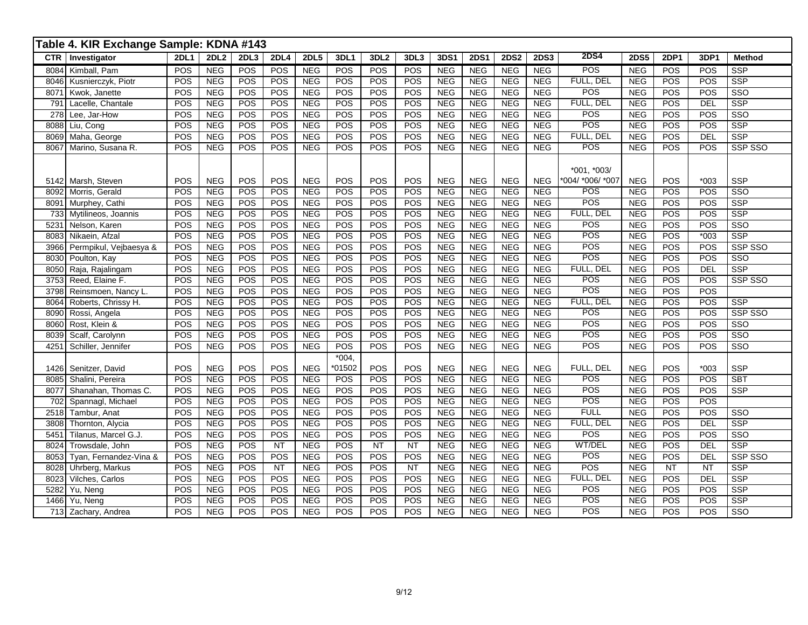|      | Table 4. KIR Exchange Sample: KDNA #143 |             |                  |            |             |             |            |                  |                  |            |             |             |             |                  |             |            |            |                         |
|------|-----------------------------------------|-------------|------------------|------------|-------------|-------------|------------|------------------|------------------|------------|-------------|-------------|-------------|------------------|-------------|------------|------------|-------------------------|
| CTR  | Investigator                            | <b>2DL1</b> | 2DL <sub>2</sub> | 2DL3       | <b>2DL4</b> | <b>2DL5</b> | 3DL1       | 3DL <sub>2</sub> | 3DL3             | 3DS1       | <b>2DS1</b> | <b>2DS2</b> | <b>2DS3</b> | <b>2DS4</b>      | <b>2DS5</b> | 2DP1       | 3DP1       | <b>Method</b>           |
| 8084 | Kimball, Pam                            | POS         | <b>NEG</b>       | <b>POS</b> | POS         | <b>NEG</b>  | <b>POS</b> | POS              | POS              | <b>NEG</b> | <b>NEG</b>  | <b>NEG</b>  | <b>NEG</b>  | <b>POS</b>       | <b>NEG</b>  | POS        | POS        | <b>SSP</b>              |
| 8046 | Kusnierczyk, Piotr                      | POS         | <b>NEG</b>       | POS        | POS         | NEG         | POS        | POS              | POS              | NEG        | <b>NEG</b>  | <b>NEG</b>  | <b>NEG</b>  | FULL, DEL        | NEG         | POS        | POS        | $\overline{\text{SSP}}$ |
| 8071 | Kwok, Janette                           | POS         | NEG              | <b>POS</b> | POS         | <b>NEG</b>  | POS        | POS              | POS              | NEG        | NEG         | NEG         | NEG         | <b>POS</b>       | <b>NEG</b>  | POS        | <b>POS</b> | $\overline{\text{SSO}}$ |
| 791  | Lacelle, Chantale                       | POS         | <b>NEG</b>       | POS        | POS         | <b>NEG</b>  | POS        | POS              | POS              | <b>NEG</b> | <b>NEG</b>  | <b>NEG</b>  | <b>NEG</b>  | FULL, DEL        | <b>NEG</b>  | POS        | DEL        | <b>SSP</b>              |
| 278  | Lee, Jar-How                            | POS         | <b>NEG</b>       | POS        | POS         | NEG         | POS        | POS              | POS              | <b>NEG</b> | <b>NEG</b>  | NEG         | <b>NEG</b>  | POS              | NEG         | POS        | POS        | SSO                     |
| 8088 | Liu, Cong                               | POS         | NEG              | POS        | POS         | NEG         | POS        | POS              | POS              | NEG        | NEG         | NEG         | NEG         | POS              | NEG         | POS        | POS        | $\overline{\text{SSP}}$ |
| 8069 | Maha, George                            | POS         | NEG              | POS        | POS         | NEG         | POS        | POS              | $\overline{POS}$ | NEG        | NEG         | <b>NEG</b>  | <b>NEG</b>  | FULL, DEL        | <b>NEG</b>  | POS        | DEL        | $\overline{\text{SSP}}$ |
| 8067 | Marino, Susana R.                       | POS         | NEG              | POS        | POS         | NEG         | POS        | POS              | POS              | NEG        | NEG         | NEG         | NEG         | POS              | NEG         | <b>POS</b> | POS        | SSP SSO                 |
|      |                                         |             |                  |            |             |             |            |                  |                  |            |             |             |             |                  |             |            |            |                         |
|      |                                         |             |                  |            |             |             |            |                  |                  |            |             |             |             | $*001$ , $*003/$ |             |            |            |                         |
|      | 5142 Marsh, Steven                      | POS         | <b>NEG</b>       | POS        | POS         | <b>NEG</b>  | POS        | POS              | POS              | <b>NEG</b> | <b>NEG</b>  | <b>NEG</b>  | <b>NEG</b>  | *004/ *006/ *007 | <b>NEG</b>  | POS        | $*003$     | <b>SSP</b>              |
| 8092 | Morris, Gerald                          | POS         | <b>NEG</b>       | POS        | POS         | <b>NEG</b>  | POS        | POS              | POS              | <b>NEG</b> | <b>NEG</b>  | <b>NEG</b>  | <b>NEG</b>  | <b>POS</b>       | <b>NEG</b>  | POS        | POS        | SSO                     |
| 8091 | Murphey, Cathi                          | POS         | NEG              | POS        | POS         | NEG         | POS        | POS              | POS              | NEG        | <b>NEG</b>  | <b>NEG</b>  | NEG         | POS              | NEG         | POS        | POS        | <b>SSP</b>              |
| 733  | Mytilineos, Joannis                     | POS         | NEG              | POS        | POS         | NEG         | POS        | POS              | POS              | NEG        | NEG         | NEG         | NEG         | FULL, DEL        | NEG         | POS        | POS        | $\overline{\text{SSP}}$ |
| 5231 | Nelson, Karen                           | POS         | <b>NEG</b>       | POS        | POS         | NEG         | POS        | POS              | POS              | <b>NEG</b> | <b>NEG</b>  | NEG         | NEG         | POS              | NEG         | POS        | POS        | $\overline{\text{SSO}}$ |
| 8083 | Nikaein, Afzal                          | POS         | <b>NEG</b>       | POS        | POS         | NEG         | POS        | POS              | POS              | NEG        | NEG         | NEG         | <b>NEG</b>  | POS              | NEG         | POS        | $*003$     | SSP                     |
| 3966 | Permpikul, Vejbaesya &                  | POS         | <b>NEG</b>       | POS        | POS         | <b>NEG</b>  | POS        | POS              | POS              | <b>NEG</b> | <b>NEG</b>  | <b>NEG</b>  | <b>NEG</b>  | POS              | <b>NEG</b>  | POS        | POS        | SSP SSO                 |
| 8030 | Poulton, Kay                            | POS         | NEG              | POS        | POS         | NEG         | POS        | POS              | POS              | NEG        | NEG         | NEG         | NEG         | POS              | <b>NEG</b>  | POS        | POS        | SSO                     |
| 8050 | Raja, Rajalingam                        | POS         | NEG              | POS        | POS         | NEG         | POS        | POS              | POS              | NEG        | <b>NEG</b>  | NEG         | NEG         | FULL, DEL        | NEG         | POS        | <b>DEL</b> | $\overline{\text{SSP}}$ |
| 3753 | Reed, Elaine F.                         | POS         | NEG              | POS        | POS         | NEG         | POS        | POS              | POS              | NEG        | NEG         | NEG         | NEG         | POS              | NEG         | POS        | POS        | SSP SSO                 |
| 3798 | Reinsmoen, Nancy L.                     | POS         | <b>NEG</b>       | POS        | POS         | NEG         | POS        | POS              | POS              | NEG        | NEG         | NEG         | NEG         | POS              | NEG         | POS        | POS        |                         |
| 8064 | Roberts, Chrissy H.                     | POS         | <b>NEG</b>       | POS        | POS         | <b>NEG</b>  | POS        | POS              | POS              | <b>NEG</b> | <b>NEG</b>  | <b>NEG</b>  | <b>NEG</b>  | FULL, DEL        | <b>NEG</b>  | POS        | POS        | <b>SSP</b>              |
| 8090 | Rossi, Angela                           | POS         | NEG              | POS        | POS         | <b>NEG</b>  | POS        | POS              | POS              | NEG        | <b>NEG</b>  | NEG         | <b>NEG</b>  | POS              | NEG         | POS        | POS        | SSP SSO                 |
| 8060 | Rost, Klein &                           | POS         | <b>NEG</b>       | POS        | POS         | NEG         | POS        | POS              | POS              | NEG        | NEG         | NEG         | <b>NEG</b>  | POS              | NEG         | POS        | POS        | SSO                     |
| 8039 | Scalf, Carolynn                         | POS         | NEG              | POS        | POS         | NEG         | POS        | POS              | POS              | NEG        | NEG         | NEG         | NEG         | <b>POS</b>       | <b>NEG</b>  | POS        | POS        | $\overline{\text{SSO}}$ |
| 4251 | Schiller, Jennifer                      | POS         | <b>NEG</b>       | POS        | <b>POS</b>  | <b>NEG</b>  | POS        | POS              | POS              | <b>NEG</b> | <b>NEG</b>  | <b>NEG</b>  | <b>NEG</b>  | POS              | <b>NEG</b>  | POS        | POS        | $\overline{\text{SSO}}$ |
|      |                                         |             |                  |            |             |             | $*004,$    |                  |                  |            |             |             |             |                  |             |            |            |                         |
| 1426 | Senitzer, David                         | POS         | <b>NEG</b>       | POS        | POS         | <b>NEG</b>  | *01502     | POS              | POS              | <b>NEG</b> | <b>NEG</b>  | <b>NEG</b>  | <b>NEG</b>  | FULL, DEL        | <b>NEG</b>  | POS        | $*003$     | SSP                     |
| 8085 | Shalini, Pereira                        | POS         | <b>NEG</b>       | POS        | POS         | <b>NEG</b>  | POS        | POS              | POS              | <b>NEG</b> | <b>NEG</b>  | <b>NEG</b>  | <b>NEG</b>  | POS              | <b>NEG</b>  | POS        | POS        | <b>SBT</b>              |
| 8077 | Shanahan, Thomas C.                     | POS         | NEG              | POS        | POS         | NEG         | POS        | POS              | POS              | NEG        | NEG         | NEG         | NEG         | POS              | <b>NEG</b>  | POS        | POS        | SSP                     |
| 702  | Spannagl, Michael                       | POS         | NEG              | POS        | POS         | <b>NEG</b>  | POS        | POS              | POS              | NEG        | NEG         | NEG         | NEG         | $\overline{POS}$ | NEG         | POS        | POS        |                         |
| 2518 | Tambur, Anat                            | POS         | <b>NEG</b>       | POS        | POS         | NEG         | POS        | POS              | POS              | NEG        | NEG         | NEG         | NEG         | <b>FULL</b>      | <b>NEG</b>  | POS        | POS        | SSO                     |
| 3808 | Thornton, Alycia                        | POS         | <b>NEG</b>       | POS        | POS         | <b>NEG</b>  | POS        | POS              | POS              | <b>NEG</b> | <b>NEG</b>  | <b>NEG</b>  | <b>NEG</b>  | FULL, DEL        | <b>NEG</b>  | POS        | <b>DEL</b> | <b>SSP</b>              |
| 5451 | Tilanus, Marcel G.J.                    | POS         | <b>NEG</b>       | POS        | POS         | <b>NEG</b>  | POS        | POS              | POS              | <b>NEG</b> | <b>NEG</b>  | <b>NEG</b>  | <b>NEG</b>  | <b>POS</b>       | <b>NEG</b>  | POS        | POS        | SSO                     |
| 8024 | Trowsdale, John                         | POS         | <b>NEG</b>       | POS        | <b>NT</b>   | <b>NEG</b>  | POS        | NT               | NT               | <b>NEG</b> | <b>NEG</b>  | <b>NEG</b>  | <b>NEG</b>  | WT/DEL           | <b>NEG</b>  | POS        | <b>DEL</b> | <b>SSP</b>              |
| 8053 | Tyan, Fernandez-Vina &                  | POS         | NEG              | POS        | POS         | NEG         | POS        | POS              | <b>POS</b>       | NEG        | NEG         | NEG         | NEG         | POS              | NEG         | POS        | DEL        | SSP SSO                 |
| 8028 | Uhrberg, Markus                         | POS         | <b>NEG</b>       | POS        | <b>NT</b>   | <b>NEG</b>  | POS        | POS              | <b>NT</b>        | <b>NEG</b> | <b>NEG</b>  | NEG         | NEG         | POS              | <b>NEG</b>  | <b>NT</b>  | <b>NT</b>  | <b>SSP</b>              |
| 8023 | Vilches, Carlos                         | POS         | NEG              | POS        | POS         | <b>NEG</b>  | <b>POS</b> | POS              | POS              | NEG        | NEG         | <b>NEG</b>  | NEG         | FULL, DEL        | <b>NEG</b>  | POS        | <b>DEL</b> | <b>SSP</b>              |
| 5282 | Yu, Neng                                | POS         | <b>NEG</b>       | POS        | POS         | <b>NEG</b>  | POS        | POS              | POS              | <b>NEG</b> | <b>NEG</b>  | <b>NEG</b>  | <b>NEG</b>  | <b>POS</b>       | <b>NEG</b>  | POS        | POS        | <b>SSP</b>              |
| 1466 | $\overline{Yu}$ , Neng                  | POS         | NEG              | POS        | POS         | NEG         | POS        | POS              | POS              | NEG        | NEG         | NEG         | NEG         | POS              | NEG         | POS        | POS        | $\overline{\text{SSP}}$ |
| 713  | Zachary, Andrea                         | POS         | <b>NEG</b>       | POS        | POS         | NEG         | POS        | POS              | <b>POS</b>       | NEG        | NEG         | <b>NEG</b>  | NEG         | POS              | NEG         | POS        | POS        | $\overline{\text{SSO}}$ |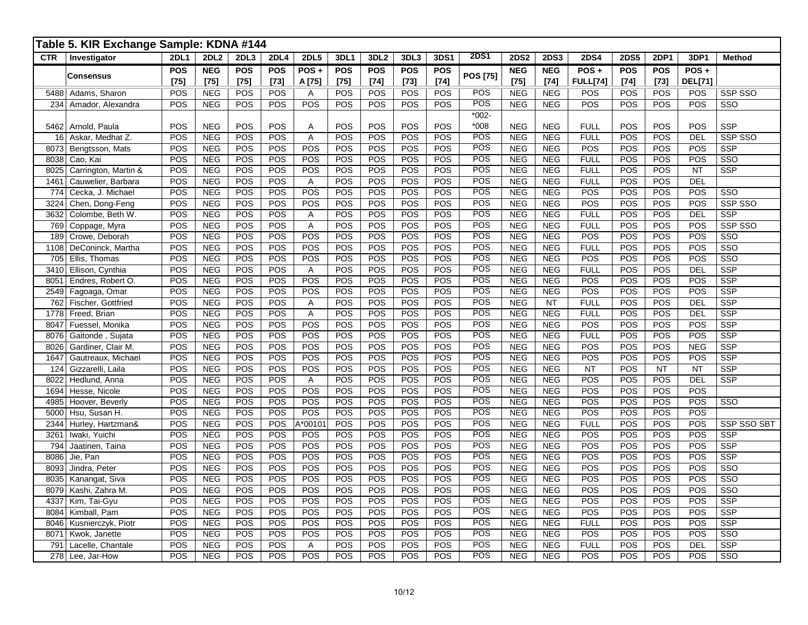|            | Table 5. KIR Exchange Sample: KDNA #144 |                      |                      |                      |                      |                     |                      |                      |                      |               |                 |                      |                      |                         |                      |                      |                           |                         |
|------------|-----------------------------------------|----------------------|----------------------|----------------------|----------------------|---------------------|----------------------|----------------------|----------------------|---------------|-----------------|----------------------|----------------------|-------------------------|----------------------|----------------------|---------------------------|-------------------------|
| <b>CTR</b> | Investigator                            | <b>2DL1</b>          | <b>2DL2</b>          | 2DL3                 | <b>2DL4</b>          | <b>2DL5</b>         | 3DL1                 | 3DL <sub>2</sub>     | 3DL3                 | 3DS1          | <b>2DS1</b>     | <b>2DS2</b>          | <b>2DS3</b>          | <b>2DS4</b>             | <b>2DS5</b>          | <b>2DP1</b>          | 3DP1                      | <b>Method</b>           |
|            | Consensus                               | <b>POS</b><br>$[75]$ | <b>NEG</b><br>$[75]$ | <b>POS</b><br>$[75]$ | <b>POS</b><br>$[73]$ | POS +<br>A [75]     | <b>POS</b><br>$[75]$ | <b>POS</b><br>$[74]$ | <b>POS</b><br>$[73]$ | POS<br>$[74]$ | <b>POS [75]</b> | <b>NEG</b><br>$[75]$ | <b>NEG</b><br>$[74]$ | POS+<br><b>FULL[74]</b> | <b>POS</b><br>$[74]$ | <b>POS</b><br>$[73]$ | $POS +$<br><b>DEL[71]</b> |                         |
| 5488       | Adams, Sharon                           | POS                  | <b>NEG</b>           | <b>POS</b>           | POS                  | Α                   | POS                  | POS                  | POS                  | POS           | POS             | <b>NEG</b>           | <b>NEG</b>           | POS                     | POS                  | POS                  | POS                       | <b>SSP SSO</b>          |
| 234        | Amador, Alexandra                       | POS                  | <b>NEG</b>           | POS                  | POS                  | POS                 | POS                  | POS                  | POS                  | POS           | POS             | <b>NEG</b>           | <b>NEG</b>           | POS                     | POS                  | POS                  | $\overline{POS}$          | SSO                     |
|            |                                         |                      |                      |                      |                      |                     |                      |                      |                      |               | $*002-$         |                      |                      |                         |                      |                      |                           |                         |
|            | 5462 Arnold, Paula                      | POS                  | <b>NEG</b>           | <b>POS</b>           | POS                  | Α                   | POS                  | POS                  | POS                  | POS           | $*008$          | <b>NEG</b>           | <b>NEG</b>           | <b>FULL</b>             | POS                  | POS                  | POS                       | <b>SSP</b>              |
| 16         | Askar, Medhat Z.                        | POS                  | <b>NEG</b>           | POS                  | POS                  | A                   | POS                  | POS                  | POS                  | POS           | POS             | <b>NEG</b>           | <b>NEG</b>           | <b>FULL</b>             | POS                  | POS                  | <b>DEL</b>                | SSP SSO                 |
| 8073       | Bengtsson, Mats                         | POS                  | <b>NEG</b>           | POS                  | POS                  | POS                 | POS                  | POS                  | POS                  | POS           | POS             | <b>NEG</b>           | <b>NEG</b>           | POS                     | POS                  | POS                  | POS                       | <b>SSP</b>              |
| 8038       | Cao, Kai                                | POS                  | <b>NEG</b>           | POS                  | POS                  | POS                 | POS                  | POS                  | POS                  | POS           | POS             | <b>NEG</b>           | <b>NEG</b>           | <b>FULL</b>             | POS                  | POS                  | POS                       | SSO                     |
| 8025       | Carrington, Martin &                    | POS                  | <b>NEG</b>           | <b>POS</b>           | POS                  | POS                 | POS                  | POS                  | POS                  | POS           | POS             | <b>NEG</b>           | <b>NEG</b>           | <b>FULL</b>             | POS                  | POS                  | <b>NT</b>                 | <b>SSP</b>              |
| 1461       | Cauwelier, Barbara                      | POS                  | <b>NEG</b>           | <b>POS</b>           | POS                  | A                   | POS                  | POS                  | POS                  | POS           | POS             | <b>NEG</b>           | <b>NEG</b>           | <b>FULL</b>             | POS                  | POS                  | DEL                       |                         |
| 774        | Cecka, J. Michael                       | POS                  | <b>NEG</b>           | <b>POS</b>           | POS                  | POS                 | POS                  | POS                  | POS                  | POS           | POS             | <b>NEG</b>           | <b>NEG</b>           | POS                     | POS                  | POS                  | POS                       | SSO                     |
| 3224       | Chen, Dong-Feng                         | POS                  | <b>NEG</b>           | POS                  | POS                  | POS                 | POS                  | POS                  | POS                  | POS           | POS             | <b>NEG</b>           | <b>NEG</b>           | POS                     | POS                  | POS                  | POS                       | <b>SSP SSO</b>          |
| 3632       | Colombe, Beth W.                        | POS                  | <b>NEG</b>           | POS                  | POS                  | A                   | POS                  | POS                  | POS                  | POS           | POS             | <b>NEG</b>           | <b>NEG</b>           | <b>FULL</b>             | POS                  | POS                  | DEL                       | <b>SSP</b>              |
| 769        | Coppage, Myra                           | POS                  | NEG                  | <b>POS</b>           | POS                  | $\mathsf{A}$        | POS                  | POS                  | POS                  | POS           | POS             | <b>NEG</b>           | <b>NEG</b>           | <b>FULL</b>             | POS                  | POS                  | POS                       | SSP SSO                 |
| 189        | Crowe, Deborah                          | POS                  | <b>NEG</b>           | POS                  | POS                  | POS                 | POS                  | POS                  | POS                  | POS           | POS             | <b>NEG</b>           | <b>NEG</b>           | POS                     | POS                  | POS                  | POS                       | SSO                     |
| 1108       | DeConinck, Martha                       | POS                  | NEG                  | <b>POS</b>           | POS                  | POS                 | POS                  | POS                  | POS                  | POS           | POS             | <b>NEG</b>           | <b>NEG</b>           | <b>FULL</b>             | POS                  | POS                  | POS                       | SSO                     |
| 705        | Ellis, Thomas                           | POS                  | <b>NEG</b>           | POS                  | POS                  | POS                 | POS                  | POS                  | POS                  | POS           | POS             | <b>NEG</b>           | <b>NEG</b>           | POS                     | POS                  | POS                  | POS                       | SSO                     |
| 3410       | Ellison, Cynthia                        | POS                  | <b>NEG</b>           | POS                  | POS                  | A                   | POS                  | POS                  | POS                  | POS           | POS             | <b>NEG</b>           | <b>NEG</b>           | <b>FULL</b>             | POS                  | POS                  | <b>DEL</b>                | <b>SSP</b>              |
| 8051       | Endres, Robert O                        | POS                  | <b>NEG</b>           | POS                  | POS                  | POS                 | POS                  | POS                  | POS                  | POS           | POS             | <b>NEG</b>           | <b>NEG</b>           | POS                     | POS                  | POS                  | POS                       | <b>SSP</b>              |
| 2549       | Fagoaga, Omar                           | POS                  | <b>NEG</b>           | POS                  | POS                  | POS                 | POS                  | POS                  | POS                  | POS           | POS             | <b>NEG</b>           | <b>NEG</b>           | POS                     | POS                  | POS                  | POS                       | <b>SSP</b>              |
| 762        | Fischer, Gottfried                      | POS                  | NEG                  | POS                  | POS                  | Α                   | POS                  | POS                  | POS                  | POS           | POS             | <b>NEG</b>           | <b>NT</b>            | <b>FULL</b>             | POS                  | POS                  | DEL                       | <b>SSP</b>              |
| 1778       | Freed, Brian                            | POS                  | <b>NEG</b>           | POS                  | POS                  | A                   | POS                  | POS                  | POS                  | POS           | POS             | <b>NEG</b>           | <b>NEG</b>           | <b>FULL</b>             | POS                  | POS                  | DEL                       | <b>SSP</b>              |
| 8047       | Fuessel, Monika                         | POS                  | <b>NEG</b>           | POS                  | POS                  | POS                 | POS                  | POS                  | POS                  | POS           | POS             | <b>NEG</b>           | <b>NEG</b>           | POS                     | POS                  | POS                  | POS                       | <b>SSP</b>              |
| 8076       | Gaitonde, Sujata                        | POS                  | <b>NEG</b>           | POS                  | POS                  | POS                 | POS                  | POS                  | POS                  | POS           | POS             | <b>NEG</b>           | <b>NEG</b>           | <b>FULL</b>             | POS                  | POS                  | POS                       | <b>SSP</b>              |
| 8026       | Gardiner, Clair M.                      | POS                  | <b>NEG</b>           | <b>POS</b>           | POS                  | POS                 | POS                  | POS                  | POS                  | POS           | POS             | <b>NEG</b>           | <b>NEG</b>           | POS                     | POS                  | POS                  | <b>NEG</b>                | <b>SSP</b>              |
| 1647       | Gautreaux, Michael                      | POS                  | <b>NEG</b>           | POS                  | POS                  | POS                 | POS                  | POS                  | POS                  | POS           | POS             | <b>NEG</b>           | <b>NEG</b>           | POS                     | POS                  | POS                  | POS                       | <b>SSP</b>              |
| 124        | Gizzarelli, Laila                       | POS                  | <b>NEG</b>           | <b>POS</b>           | POS                  | POS                 | POS                  | POS                  | POS                  | POS           | POS             | <b>NEG</b>           | <b>NEG</b>           | <b>NT</b>               | POS                  | NT                   | <b>NT</b>                 | <b>SSP</b>              |
| 8022       | Hedlund, Anna                           | POS                  | <b>NEG</b>           | POS                  | POS                  | A                   | POS                  | POS                  | POS                  | POS           | POS             | <b>NEG</b>           | <b>NEG</b>           | POS                     | POS                  | POS                  | <b>DEL</b>                | <b>SSP</b>              |
| 1694       | Hesse, Nicole                           | POS                  | <b>NEG</b>           | <b>POS</b>           | POS                  | POS                 | POS                  | POS                  | POS                  | POS           | POS             | <b>NEG</b>           | <b>NEG</b>           | POS                     | POS                  | POS                  | POS                       |                         |
| 4985       | Hoover, Beverly                         | POS                  | NEG                  | POS                  | POS                  | POS                 | POS                  | POS                  | POS                  | POS           | POS             | <b>NEG</b>           | <b>NEG</b>           | POS                     | POS                  | POS                  | POS                       | SSO                     |
| 5000       | Hsu, Susan H.                           | POS                  | <b>NEG</b>           | POS                  | POS                  | POS                 | POS                  | POS                  | POS                  | POS           | POS             | <b>NEG</b>           | <b>NEG</b>           | POS                     | POS                  | POS                  | POS                       |                         |
| 2344       | Hurley, Hartzman&                       | POS                  | NEG                  | <b>POS</b>           | POS                  | A*0010 <sup>,</sup> | POS                  | POS                  | POS                  | POS           | POS             | <b>NEG</b>           | <b>NEG</b>           | <b>FULL</b>             | POS                  | POS                  | POS                       | SSP SSO SBT             |
| 3261       | Iwaki, Yuichi                           | POS                  | <b>NEG</b>           | POS                  | POS                  | POS                 | POS                  | POS                  | POS                  | POS           | POS             | <b>NEG</b>           | <b>NEG</b>           | POS                     | POS                  | POS                  | POS                       | <b>SSP</b>              |
| 794        | Jaatinen, Taina                         | POS                  | <b>NEG</b>           | POS                  | POS                  | POS                 | POS                  | POS                  | POS                  | POS           | POS             | <b>NEG</b>           | <b>NEG</b>           | POS                     | POS                  | POS                  | POS                       | <b>SSP</b>              |
| 8086       | Jie, Pan                                | POS                  | <b>NEG</b>           | POS                  | POS                  | POS                 | POS                  | POS                  | POS                  | POS           | POS             | <b>NEG</b>           | <b>NEG</b>           | POS                     | POS                  | POS                  | POS                       | $\overline{\text{SSP}}$ |
| 8093       | Jindra, Peter                           | POS                  | NEG                  | POS                  | POS                  | POS                 | POS                  | POS                  | POS                  | POS           | POS             | <b>NEG</b>           | <b>NEG</b>           | POS                     | POS                  | POS                  | POS                       | $\overline{\text{SSO}}$ |
| 8035       | Kanangat, Siva                          | POS                  | <b>NEG</b>           | POS                  | POS                  | POS                 | POS                  | POS                  | POS                  | POS           | POS             | <b>NEG</b>           | <b>NEG</b>           | POS                     | POS                  | POS                  | POS                       | $\overline{\text{SSO}}$ |
| 8079       | Kashi, Zahra M.                         | POS                  | <b>NEG</b>           | POS                  | POS                  | POS                 | POS                  | POS                  | POS                  | POS           | POS             | <b>NEG</b>           | <b>NEG</b>           | POS                     | POS                  | POS                  | POS                       | SSO                     |
| 4337       | Kim, Tai-Gyu                            | POS                  | <b>NEG</b>           | POS                  | POS                  | POS                 | POS                  | POS                  | POS                  | POS           | POS             | <b>NEG</b>           | <b>NEG</b>           | POS                     | POS                  | POS                  | POS                       | <b>SSP</b>              |
| 8084       | Kimball, Pam                            | POS                  | NEG                  | POS                  | POS                  | POS                 | POS                  | POS                  | POS                  | POS           | POS             | <b>NEG</b>           | <b>NEG</b>           | POS                     | POS                  | POS                  | POS                       | <b>SSP</b>              |
| 8046       | Kusnierczyk, Piotr                      | POS                  | NEG                  | POS                  | POS                  | POS                 | POS                  | POS                  | POS                  | POS           | <b>POS</b>      | <b>NEG</b>           | <b>NEG</b>           | <b>FULL</b>             | POS                  | POS                  | POS                       | <b>SSP</b>              |
| 8071       | Kwok, Janette                           | POS                  | <b>NEG</b>           | POS                  | POS                  | POS                 | POS                  | POS                  | POS                  | POS           | POS             | <b>NEG</b>           | <b>NEG</b>           | POS                     | POS                  | POS                  | POS                       | SSO                     |
| 791        | Lacelle, Chantale                       | POS                  | <b>NEG</b>           | POS                  | POS                  | A                   | POS                  | POS                  | POS                  | POS           | POS             | <b>NEG</b>           | <b>NEG</b>           | <b>FULL</b>             | POS                  | POS                  | <b>DEL</b>                | <b>SSP</b>              |
|            | 278 Lee, Jar-How                        | POS                  | <b>NEG</b>           | POS                  | POS                  | POS                 | POS                  | POS                  | POS                  | POS           | POS             | <b>NEG</b>           | <b>NEG</b>           | POS                     | POS                  | POS                  | POS                       | SSO                     |
|            |                                         |                      |                      |                      |                      |                     |                      |                      |                      |               |                 |                      |                      |                         |                      |                      |                           |                         |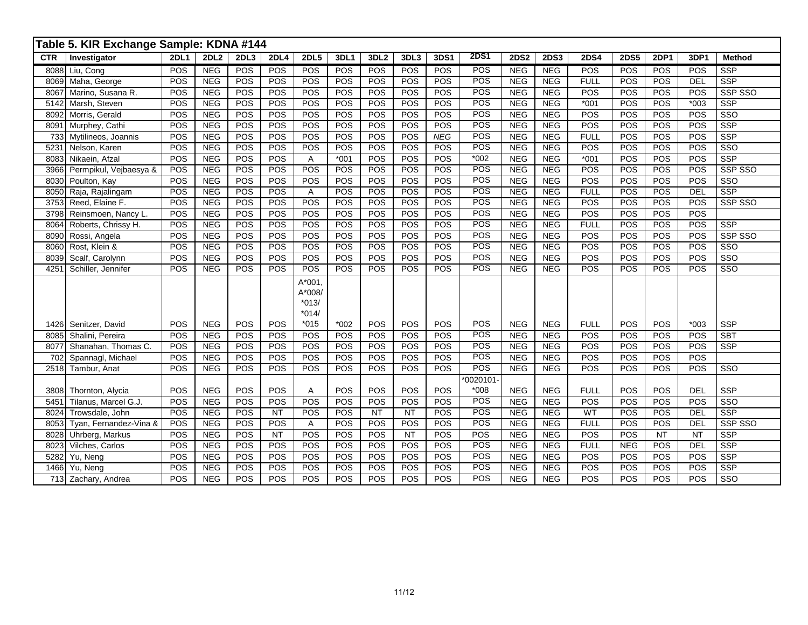|            | Table 5. KIR Exchange Sample: KDNA #144 |             |                  |      |             |              |        |                  |      |             |             |             |             |             |             |             |            |                         |
|------------|-----------------------------------------|-------------|------------------|------|-------------|--------------|--------|------------------|------|-------------|-------------|-------------|-------------|-------------|-------------|-------------|------------|-------------------------|
| <b>CTR</b> | Investigator                            | <b>2DL1</b> | 2DL <sub>2</sub> | 2DL3 | <b>2DL4</b> | <b>2DL5</b>  | 3DL1   | 3DL <sub>2</sub> | 3DL3 | <b>3DS1</b> | <b>2DS1</b> | <b>2DS2</b> | <b>2DS3</b> | <b>2DS4</b> | <b>2DS5</b> | <b>2DP1</b> | 3DP1       | <b>Method</b>           |
| 8088       | Liu, Cong                               | POS         | <b>NEG</b>       | POS  | POS         | POS          | POS    | POS              | POS  | POS         | POS         | <b>NEG</b>  | <b>NEG</b>  | <b>POS</b>  | POS         | POS         | POS        | <b>SSP</b>              |
|            | 8069 Maha, George                       | POS         | <b>NEG</b>       | POS  | POS         | POS          | POS    | POS              | POS  | POS         | <b>POS</b>  | <b>NEG</b>  | NEG         | <b>FULL</b> | POS         | POS         | <b>DEL</b> | $\overline{\text{SSP}}$ |
| 8067       | Marino, Susana R.                       | POS         | <b>NEG</b>       | POS  | <b>POS</b>  | POS          | POS    | POS              | POS  | <b>POS</b>  | POS         | <b>NEG</b>  | <b>NEG</b>  | POS         | POS         | POS         | POS        | SSP SSO                 |
| 5142       | Marsh, Steven                           | POS         | <b>NEG</b>       | POS  | POS         | POS          | POS    | POS              | POS  | POS         | POS         | <b>NEG</b>  | <b>NEG</b>  | $*001$      | POS         | POS         | $*003$     | <b>SSP</b>              |
| 8092       | Morris, Gerald                          | POS         | <b>NEG</b>       | POS  | POS         | POS          | POS    | POS              | POS  | POS         | POS         | <b>NEG</b>  | NEG         | POS         | POS         | POS         | POS        | $\overline{\text{SSO}}$ |
| 8091       | Murphey, Cathi                          | POS         | <b>NEG</b>       | POS  | POS         | POS          | POS    | POS              | POS  | POS         | POS         | <b>NEG</b>  | NEG         | POS         | POS         | POS         | POS        | $\overline{\text{SSP}}$ |
| 733        | Mytilineos, Joannis                     | POS         | NEG              | POS  | POS         | POS          | POS    | POS              | POS  | NEG         | POS         | NEG         | NEG         | <b>FULL</b> | POS         | POS         | POS        | $\overline{\text{SSP}}$ |
| 5231       | Nelson, Karen                           | POS         | NEG              | POS  | POS         | POS          | POS    | POS              | POS  | POS         | POS         | <b>NEG</b>  | NEG         | POS         | POS         | POS         | POS        | SSO                     |
| 8083       | Nikaein, Afzal                          | POS         | <b>NEG</b>       | POS  | POS         | A            | $*001$ | POS              | POS  | POS         | $*002$      | <b>NEG</b>  | <b>NEG</b>  | $*001$      | POS         | POS         | POS        | <b>SSP</b>              |
| 3966       | Permpikul, Vejbaesya &                  | POS         | NEG              | POS  | POS         | POS          | POS    | POS              | POS  | POS         | POS         | <b>NEG</b>  | NEG         | POS         | POS         | POS         | POS        | SSP SSO                 |
| 8030       | Poulton, Kay                            | POS         | <b>NEG</b>       | POS  | POS         | POS          | POS    | POS              | POS  | POS         | POS         | <b>NEG</b>  | NEG         | <b>POS</b>  | POS         | POS         | POS        | $\overline{\text{SSO}}$ |
| 8050       | Raja, Rajalingam                        | POS         | NEG              | POS  | POS         | $\mathsf{A}$ | POS    | POS              | POS  | POS         | POS         | <b>NEG</b>  | NEG         | <b>FULL</b> | POS         | POS         | DEL        | $\overline{\text{SSP}}$ |
| 3753       | Reed, Elaine F.                         | POS         | NEG              | POS  | POS         | POS          | POS    | POS              | POS  | POS         | POS         | <b>NEG</b>  | NEG         | POS         | POS         | POS         | POS        | SSP SSO                 |
| 3798       | Reinsmoen, Nancy L.                     | POS         | <b>NEG</b>       | POS  | POS         | POS          | POS    | POS              | POS  | POS         | POS         | <b>NEG</b>  | <b>NEG</b>  | POS         | POS         | POS         | <b>POS</b> |                         |
| 8064       | Roberts, Chrissy H.                     | POS         | NEG              | POS  | POS         | POS          | POS    | POS              | POS  | POS         | POS         | <b>NEG</b>  | <b>NEG</b>  | <b>FULL</b> | POS         | POS         | POS        | <b>SSP</b>              |
| 8090       | Rossi, Angela                           | POS         | <b>NEG</b>       | POS  | POS         | POS          | POS    | POS              | POS  | POS         | POS         | <b>NEG</b>  | <b>NEG</b>  | POS         | POS         | POS         | POS        | SSP SSO                 |
| 8060       | Rost, Klein &                           | POS         | <b>NEG</b>       | POS  | POS         | POS          | POS    | POS              | POS  | POS         | POS         | <b>NEG</b>  | <b>NEG</b>  | POS         | POS         | POS         | POS        | SSO                     |
| 8039       | Scalf, Carolynn                         | POS         | NEG              | POS  | POS         | POS          | POS    | POS              | POS  | POS         | POS         | NEG         | NEG         | POS         | POS         | POS         | POS        | $\overline{\text{SSO}}$ |
| 4251       | Schiller, Jennifer                      | POS         | <b>NEG</b>       | POS  | POS         | POS          | POS    | POS              | POS  | POS         | POS         | <b>NEG</b>  | <b>NEG</b>  | POS         | POS         | POS         | POS        | $\overline{\text{SSO}}$ |
|            |                                         |             |                  |      |             | $A*001,$     |        |                  |      |             |             |             |             |             |             |             |            |                         |
|            |                                         |             |                  |      |             | A*008/       |        |                  |      |             |             |             |             |             |             |             |            |                         |
|            |                                         |             |                  |      |             | $*013/$      |        |                  |      |             |             |             |             |             |             |             |            |                         |
|            |                                         |             |                  |      |             | $*014/$      |        |                  |      |             |             |             |             |             |             |             |            |                         |
|            | 1426 Senitzer, David                    | POS         | <b>NEG</b>       | POS  | POS         | $*015$       | $*002$ | POS              | POS  | POS         | POS         | <b>NEG</b>  | <b>NEG</b>  | <b>FULL</b> | POS         | POS         | $*003$     | <b>SSP</b>              |
|            | 8085 Shalini, Pereira                   | POS         | <b>NEG</b>       | POS  | POS         | POS          | POS    | POS              | POS  | POS         | POS         | <b>NEG</b>  | <b>NEG</b>  | POS         | POS         | POS         | POS        | <b>SBT</b>              |
| 8077       | Shanahan, Thomas C.                     | POS         | NEG              | POS  | POS         | POS          | POS    | POS              | POS  | POS         | POS         | <b>NEG</b>  | <b>NEG</b>  | POS         | POS         | POS         | POS        | $\overline{\text{SSP}}$ |
| 702        | Spannagl, Michael                       | POS         | <b>NEG</b>       | POS  | POS         | POS          | POS    | POS              | POS  | POS         | POS         | <b>NEG</b>  | <b>NEG</b>  | POS         | POS         | POS         | POS        |                         |
|            | 2518 Tambur, Anat                       | POS         | <b>NEG</b>       | POS  | POS         | POS          | POS    | POS              | POS  | POS         | POS         | <b>NEG</b>  | <b>NEG</b>  | POS         | POS         | POS         | POS        | SSO                     |
|            |                                         |             |                  |      |             |              |        |                  |      |             | *0020101-   |             |             |             |             |             |            |                         |
| 3808       | Thornton, Alycia                        | POS         | <b>NEG</b>       | POS  | POS         | $\mathsf{A}$ | POS    | POS              | POS  | POS         | $*008$      | <b>NEG</b>  | <b>NEG</b>  | <b>FULL</b> | POS         | POS         | <b>DEL</b> | SSP                     |
| 5451       | Tilanus, Marcel G.J.                    | POS         | <b>NEG</b>       | POS  | POS         | POS          | POS    | POS              | POS  | POS         | POS         | <b>NEG</b>  | <b>NEG</b>  | POS         | POS         | POS         | POS        | $\overline{\text{SSO}}$ |
| 8024       | Trowsdale, John                         | POS         | <b>NEG</b>       | POS  | NT          | POS          | POS    | NT               | NT   | POS         | POS         | NEG         | NEG         | <b>WT</b>   | POS         | POS         | <b>DEL</b> | SSP                     |
| 8053       | Tyan, Fernandez-Vina &                  | POS         | <b>NEG</b>       | POS  | POS         | $\mathsf{A}$ | POS    | POS              | POS  | POS         | POS         | <b>NEG</b>  | <b>NEG</b>  | <b>FULL</b> | POS         | POS         | <b>DEL</b> | SSP SSO                 |
| 8028       | Uhrberg, Markus                         | POS         | NEG              | POS  | NT          | POS          | POS    | <b>POS</b>       | NT   | POS         | POS         | NEG         | NEG         | <b>POS</b>  | POS         | NT          | <b>NT</b>  | SSP                     |
| 8023       | Vilches, Carlos                         | POS         | <b>NEG</b>       | POS  | POS         | POS          | POS    | POS              | POS  | POS         | POS         | <b>NEG</b>  | <b>NEG</b>  | <b>FULL</b> | <b>NEG</b>  | POS         | <b>DEL</b> | <b>SSP</b>              |
| 5282       | Yu, Neng                                | POS         | <b>NEG</b>       | POS  | POS         | POS          | POS    | POS              | POS  | POS         | POS         | <b>NEG</b>  | <b>NEG</b>  | POS         | POS         | POS         | POS        | <b>SSP</b>              |
| 1466       | Yu, Neng                                | POS         | <b>NEG</b>       | POS  | POS         | POS          | POS    | POS              | POS  | POS         | POS         | <b>NEG</b>  | <b>NEG</b>  | POS         | POS         | POS         | POS        | SSP                     |
|            | 713 Zachary, Andrea                     | POS         | NEG              | POS  | POS         | POS          | POS    | POS              | POS  | POS         | <b>POS</b>  | <b>NEG</b>  | NEG         | POS         | POS         | POS         | POS        | $\overline{\text{SSO}}$ |